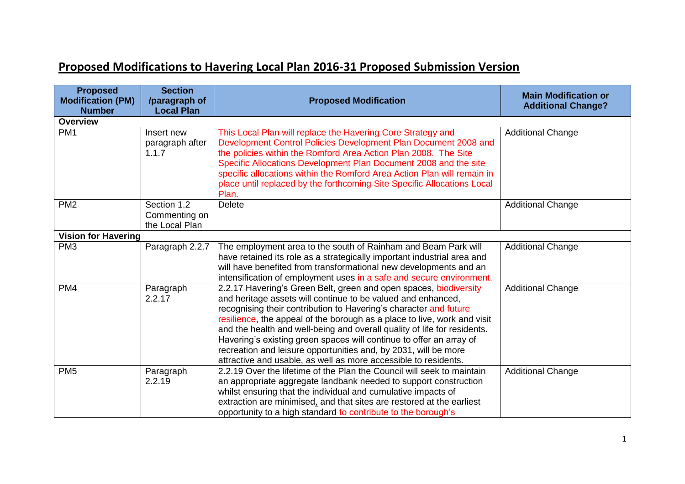## **Proposed Modifications to Havering Local Plan 2016-31 Proposed Submission Version**

| <b>Proposed</b><br><b>Modification (PM)</b> | <b>Section</b><br>/paragraph of                | <b>Proposed Modification</b>                                                                                                                                                                                                                                                                                                                                                                                                                                                                                                                                                | <b>Main Modification or</b><br><b>Additional Change?</b> |
|---------------------------------------------|------------------------------------------------|-----------------------------------------------------------------------------------------------------------------------------------------------------------------------------------------------------------------------------------------------------------------------------------------------------------------------------------------------------------------------------------------------------------------------------------------------------------------------------------------------------------------------------------------------------------------------------|----------------------------------------------------------|
| <b>Number</b><br><b>Overview</b>            | <b>Local Plan</b>                              |                                                                                                                                                                                                                                                                                                                                                                                                                                                                                                                                                                             |                                                          |
| PM <sub>1</sub>                             | Insert new<br>paragraph after<br>1.1.7         | This Local Plan will replace the Havering Core Strategy and<br>Development Control Policies Development Plan Document 2008 and<br>the policies within the Romford Area Action Plan 2008. The Site<br>Specific Allocations Development Plan Document 2008 and the site<br>specific allocations within the Romford Area Action Plan will remain in<br>place until replaced by the forthcoming Site Specific Allocations Local<br>Plan.                                                                                                                                        | <b>Additional Change</b>                                 |
| PM <sub>2</sub>                             | Section 1.2<br>Commenting on<br>the Local Plan | <b>Delete</b>                                                                                                                                                                                                                                                                                                                                                                                                                                                                                                                                                               | <b>Additional Change</b>                                 |
| <b>Vision for Havering</b>                  |                                                |                                                                                                                                                                                                                                                                                                                                                                                                                                                                                                                                                                             |                                                          |
| PM <sub>3</sub>                             | Paragraph 2.2.7                                | The employment area to the south of Rainham and Beam Park will<br>have retained its role as a strategically important industrial area and<br>will have benefited from transformational new developments and an<br>intensification of employment uses in a safe and secure environment.                                                                                                                                                                                                                                                                                      | <b>Additional Change</b>                                 |
| PM4                                         | Paragraph<br>2.2.17                            | 2.2.17 Havering's Green Belt, green and open spaces, biodiversity<br>and heritage assets will continue to be valued and enhanced,<br>recognising their contribution to Havering's character and future<br>resilience, the appeal of the borough as a place to live, work and visit<br>and the health and well-being and overall quality of life for residents.<br>Havering's existing green spaces will continue to offer an array of<br>recreation and leisure opportunities and, by 2031, will be more<br>attractive and usable, as well as more accessible to residents. | <b>Additional Change</b>                                 |
| PM <sub>5</sub>                             | Paragraph<br>2.2.19                            | 2.2.19 Over the lifetime of the Plan the Council will seek to maintain<br>an appropriate aggregate landbank needed to support construction<br>whilst ensuring that the individual and cumulative impacts of<br>extraction are minimised, and that sites are restored at the earliest<br>opportunity to a high standard to contribute to the borough's                                                                                                                                                                                                                       | <b>Additional Change</b>                                 |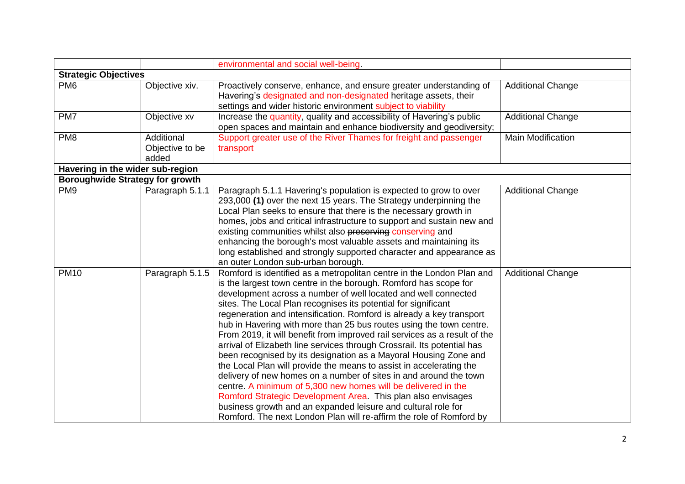|                                        |                                        | environmental and social well-being.                                                                                                                                                                                                                                                                                                                                                                                                                                                                                                                                                                                                                                                                                                                                                                                                                                                                                                                                                                                                                                          |                          |
|----------------------------------------|----------------------------------------|-------------------------------------------------------------------------------------------------------------------------------------------------------------------------------------------------------------------------------------------------------------------------------------------------------------------------------------------------------------------------------------------------------------------------------------------------------------------------------------------------------------------------------------------------------------------------------------------------------------------------------------------------------------------------------------------------------------------------------------------------------------------------------------------------------------------------------------------------------------------------------------------------------------------------------------------------------------------------------------------------------------------------------------------------------------------------------|--------------------------|
| <b>Strategic Objectives</b>            |                                        |                                                                                                                                                                                                                                                                                                                                                                                                                                                                                                                                                                                                                                                                                                                                                                                                                                                                                                                                                                                                                                                                               |                          |
| PM <sub>6</sub>                        | Objective xiv.                         | Proactively conserve, enhance, and ensure greater understanding of<br>Havering's designated and non-designated heritage assets, their<br>settings and wider historic environment subject to viability                                                                                                                                                                                                                                                                                                                                                                                                                                                                                                                                                                                                                                                                                                                                                                                                                                                                         | <b>Additional Change</b> |
| PM7                                    | Objective xv                           | Increase the quantity, quality and accessibility of Havering's public<br>open spaces and maintain and enhance biodiversity and geodiversity;                                                                                                                                                                                                                                                                                                                                                                                                                                                                                                                                                                                                                                                                                                                                                                                                                                                                                                                                  | <b>Additional Change</b> |
| PM <sub>8</sub>                        | Additional<br>Objective to be<br>added | Support greater use of the River Thames for freight and passenger<br>transport                                                                                                                                                                                                                                                                                                                                                                                                                                                                                                                                                                                                                                                                                                                                                                                                                                                                                                                                                                                                | <b>Main Modification</b> |
| Havering in the wider sub-region       |                                        |                                                                                                                                                                                                                                                                                                                                                                                                                                                                                                                                                                                                                                                                                                                                                                                                                                                                                                                                                                                                                                                                               |                          |
| <b>Boroughwide Strategy for growth</b> |                                        |                                                                                                                                                                                                                                                                                                                                                                                                                                                                                                                                                                                                                                                                                                                                                                                                                                                                                                                                                                                                                                                                               |                          |
| PM <sub>9</sub>                        | Paragraph 5.1.1                        | Paragraph 5.1.1 Havering's population is expected to grow to over<br>293,000 (1) over the next 15 years. The Strategy underpinning the<br>Local Plan seeks to ensure that there is the necessary growth in<br>homes, jobs and critical infrastructure to support and sustain new and<br>existing communities whilst also preserving conserving and<br>enhancing the borough's most valuable assets and maintaining its<br>long established and strongly supported character and appearance as<br>an outer London sub-urban borough.                                                                                                                                                                                                                                                                                                                                                                                                                                                                                                                                           | <b>Additional Change</b> |
| <b>PM10</b>                            | Paragraph 5.1.5                        | Romford is identified as a metropolitan centre in the London Plan and<br>is the largest town centre in the borough. Romford has scope for<br>development across a number of well located and well connected<br>sites. The Local Plan recognises its potential for significant<br>regeneration and intensification. Romford is already a key transport<br>hub in Havering with more than 25 bus routes using the town centre.<br>From 2019, it will benefit from improved rail services as a result of the<br>arrival of Elizabeth line services through Crossrail. Its potential has<br>been recognised by its designation as a Mayoral Housing Zone and<br>the Local Plan will provide the means to assist in accelerating the<br>delivery of new homes on a number of sites in and around the town<br>centre. A minimum of 5,300 new homes will be delivered in the<br>Romford Strategic Development Area. This plan also envisages<br>business growth and an expanded leisure and cultural role for<br>Romford. The next London Plan will re-affirm the role of Romford by | <b>Additional Change</b> |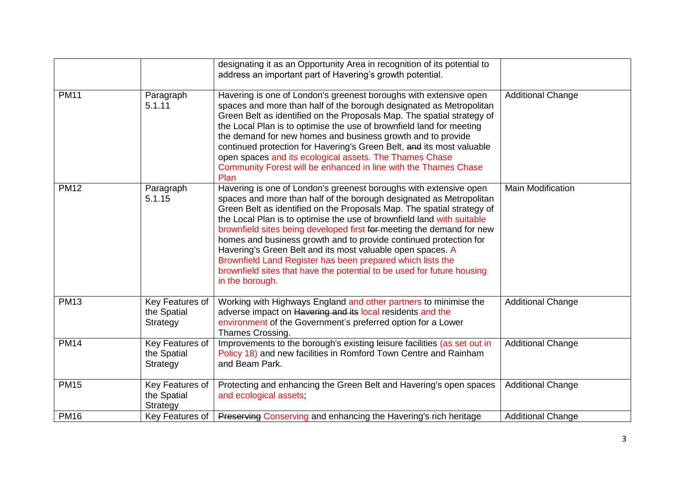|             |                                            | designating it as an Opportunity Area in recognition of its potential to<br>address an important part of Havering's growth potential.                                                                                                                                                                                                                                                                                                                                                                                                                                                                                                                               |                          |
|-------------|--------------------------------------------|---------------------------------------------------------------------------------------------------------------------------------------------------------------------------------------------------------------------------------------------------------------------------------------------------------------------------------------------------------------------------------------------------------------------------------------------------------------------------------------------------------------------------------------------------------------------------------------------------------------------------------------------------------------------|--------------------------|
| <b>PM11</b> | Paragraph<br>5.1.11                        | Havering is one of London's greenest boroughs with extensive open<br>spaces and more than half of the borough designated as Metropolitan<br>Green Belt as identified on the Proposals Map. The spatial strategy of<br>the Local Plan is to optimise the use of brownfield land for meeting<br>the demand for new homes and business growth and to provide<br>continued protection for Havering's Green Belt, and its most valuable<br>open spaces and its ecological assets. The Thames Chase<br>Community Forest will be enhanced in line with the Thames Chase<br>Plan                                                                                            | <b>Additional Change</b> |
| <b>PM12</b> | Paragraph<br>5.1.15                        | Havering is one of London's greenest boroughs with extensive open<br>spaces and more than half of the borough designated as Metropolitan<br>Green Belt as identified on the Proposals Map. The spatial strategy of<br>the Local Plan is to optimise the use of brownfield land with suitable<br>brownfield sites being developed first for-meeting the demand for new<br>homes and business growth and to provide continued protection for<br>Havering's Green Belt and its most valuable open spaces. A<br>Brownfield Land Register has been prepared which lists the<br>brownfield sites that have the potential to be used for future housing<br>in the borough. | <b>Main Modification</b> |
| <b>PM13</b> | Key Features of<br>the Spatial<br>Strategy | Working with Highways England and other partners to minimise the<br>adverse impact on Havering and its local residents and the<br>environment of the Government's preferred option for a Lower<br>Thames Crossing.                                                                                                                                                                                                                                                                                                                                                                                                                                                  | <b>Additional Change</b> |
| <b>PM14</b> | Key Features of<br>the Spatial<br>Strategy | Improvements to the borough's existing leisure facilities (as set out in<br>Policy 18) and new facilities in Romford Town Centre and Rainham<br>and Beam Park.                                                                                                                                                                                                                                                                                                                                                                                                                                                                                                      | <b>Additional Change</b> |
| <b>PM15</b> | Key Features of<br>the Spatial<br>Strategy | Protecting and enhancing the Green Belt and Havering's open spaces<br>and ecological assets;                                                                                                                                                                                                                                                                                                                                                                                                                                                                                                                                                                        | <b>Additional Change</b> |
| <b>PM16</b> |                                            | Key Features of   Preserving Conserving and enhancing the Havering's rich heritage                                                                                                                                                                                                                                                                                                                                                                                                                                                                                                                                                                                  | <b>Additional Change</b> |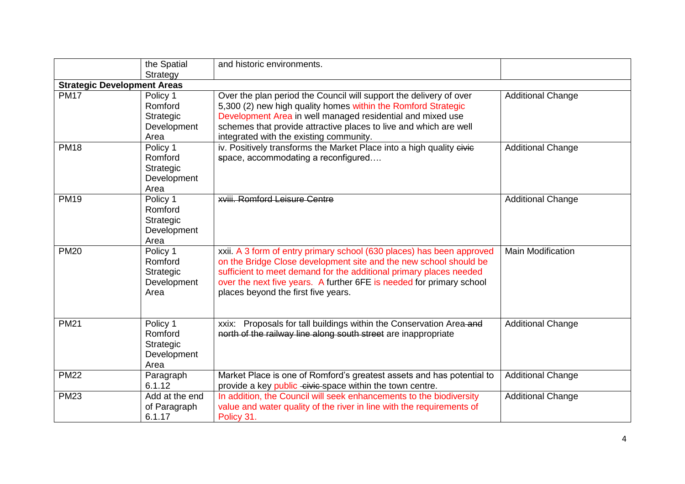|             | the Spatial<br>Strategy                                 | and historic environments.                                                                                                                                                                                                                                                                                                      |                          |
|-------------|---------------------------------------------------------|---------------------------------------------------------------------------------------------------------------------------------------------------------------------------------------------------------------------------------------------------------------------------------------------------------------------------------|--------------------------|
|             | <b>Strategic Development Areas</b>                      |                                                                                                                                                                                                                                                                                                                                 |                          |
| <b>PM17</b> | Policy 1<br>Romford<br>Strategic<br>Development<br>Area | Over the plan period the Council will support the delivery of over<br>5,300 (2) new high quality homes within the Romford Strategic<br>Development Area in well managed residential and mixed use<br>schemes that provide attractive places to live and which are well<br>integrated with the existing community.               | <b>Additional Change</b> |
| <b>PM18</b> | Policy 1<br>Romford<br>Strategic<br>Development<br>Area | iv. Positively transforms the Market Place into a high quality eivie<br>space, accommodating a reconfigured                                                                                                                                                                                                                     | <b>Additional Change</b> |
| <b>PM19</b> | Policy 1<br>Romford<br>Strategic<br>Development<br>Area | <b>xviii. Romford Leisure Centre</b>                                                                                                                                                                                                                                                                                            | <b>Additional Change</b> |
| <b>PM20</b> | Policy 1<br>Romford<br>Strategic<br>Development<br>Area | xxii. A 3 form of entry primary school (630 places) has been approved<br>on the Bridge Close development site and the new school should be<br>sufficient to meet demand for the additional primary places needed<br>over the next five years. A further 6FE is needed for primary school<br>places beyond the first five years. | <b>Main Modification</b> |
| <b>PM21</b> | Policy 1<br>Romford<br>Strategic<br>Development<br>Area | Proposals for tall buildings within the Conservation Area and<br>xxix:<br>north of the railway line along south street are inappropriate                                                                                                                                                                                        | <b>Additional Change</b> |
| <b>PM22</b> | Paragraph<br>6.1.12                                     | Market Place is one of Romford's greatest assets and has potential to<br>provide a key public civic space within the town centre.                                                                                                                                                                                               | <b>Additional Change</b> |
| <b>PM23</b> | Add at the end<br>of Paragraph<br>6.1.17                | In addition, the Council will seek enhancements to the biodiversity<br>value and water quality of the river in line with the requirements of<br>Policy 31.                                                                                                                                                                      | <b>Additional Change</b> |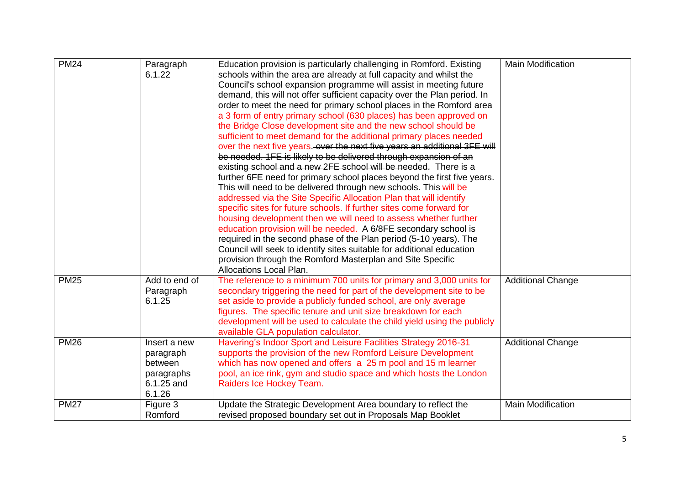| <b>PM24</b> | Paragraph<br>6.1.22                                                        | Education provision is particularly challenging in Romford. Existing<br>schools within the area are already at full capacity and whilst the<br>Council's school expansion programme will assist in meeting future<br>demand, this will not offer sufficient capacity over the Plan period. In<br>order to meet the need for primary school places in the Romford area<br>a 3 form of entry primary school (630 places) has been approved on<br>the Bridge Close development site and the new school should be<br>sufficient to meet demand for the additional primary places needed<br>over the next five years. over the next five years an additional 3FE will<br>be needed. 1FE is likely to be delivered through expansion of an<br>existing school and a new 2FE school will be needed. There is a<br>further 6FE need for primary school places beyond the first five years.<br>This will need to be delivered through new schools. This will be<br>addressed via the Site Specific Allocation Plan that will identify<br>specific sites for future schools. If further sites come forward for<br>housing development then we will need to assess whether further<br>education provision will be needed. A 6/8FE secondary school is<br>required in the second phase of the Plan period (5-10 years). The<br>Council will seek to identify sites suitable for additional education<br>provision through the Romford Masterplan and Site Specific<br><b>Allocations Local Plan.</b> | <b>Main Modification</b> |
|-------------|----------------------------------------------------------------------------|------------------------------------------------------------------------------------------------------------------------------------------------------------------------------------------------------------------------------------------------------------------------------------------------------------------------------------------------------------------------------------------------------------------------------------------------------------------------------------------------------------------------------------------------------------------------------------------------------------------------------------------------------------------------------------------------------------------------------------------------------------------------------------------------------------------------------------------------------------------------------------------------------------------------------------------------------------------------------------------------------------------------------------------------------------------------------------------------------------------------------------------------------------------------------------------------------------------------------------------------------------------------------------------------------------------------------------------------------------------------------------------------------------------------------------------------------------------------------------------|--------------------------|
| <b>PM25</b> | Add to end of<br>Paragraph<br>6.1.25                                       | The reference to a minimum 700 units for primary and 3,000 units for<br>secondary triggering the need for part of the development site to be<br>set aside to provide a publicly funded school, are only average<br>figures. The specific tenure and unit size breakdown for each<br>development will be used to calculate the child yield using the publicly<br>available GLA population calculator.                                                                                                                                                                                                                                                                                                                                                                                                                                                                                                                                                                                                                                                                                                                                                                                                                                                                                                                                                                                                                                                                                     | <b>Additional Change</b> |
| <b>PM26</b> | Insert a new<br>paragraph<br>between<br>paragraphs<br>6.1.25 and<br>6.1.26 | Havering's Indoor Sport and Leisure Facilities Strategy 2016-31<br>supports the provision of the new Romford Leisure Development<br>which has now opened and offers a 25 m pool and 15 m learner<br>pool, an ice rink, gym and studio space and which hosts the London<br>Raiders Ice Hockey Team.                                                                                                                                                                                                                                                                                                                                                                                                                                                                                                                                                                                                                                                                                                                                                                                                                                                                                                                                                                                                                                                                                                                                                                                       | <b>Additional Change</b> |
| <b>PM27</b> | Figure 3<br>Romford                                                        | Update the Strategic Development Area boundary to reflect the<br>revised proposed boundary set out in Proposals Map Booklet                                                                                                                                                                                                                                                                                                                                                                                                                                                                                                                                                                                                                                                                                                                                                                                                                                                                                                                                                                                                                                                                                                                                                                                                                                                                                                                                                              | <b>Main Modification</b> |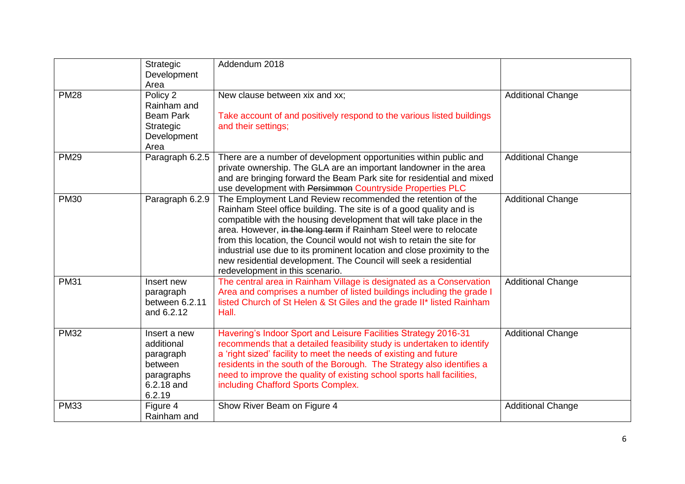|             | Strategic<br>Development<br>Area                                                         | Addendum 2018                                                                                                                                                                                                                                                                                                                                                                                                                                                                                                                             |                          |
|-------------|------------------------------------------------------------------------------------------|-------------------------------------------------------------------------------------------------------------------------------------------------------------------------------------------------------------------------------------------------------------------------------------------------------------------------------------------------------------------------------------------------------------------------------------------------------------------------------------------------------------------------------------------|--------------------------|
| <b>PM28</b> | Policy 2<br>Rainham and<br><b>Beam Park</b><br>Strategic<br>Development<br>Area          | New clause between xix and xx;<br>Take account of and positively respond to the various listed buildings<br>and their settings;                                                                                                                                                                                                                                                                                                                                                                                                           | <b>Additional Change</b> |
| <b>PM29</b> | Paragraph 6.2.5                                                                          | There are a number of development opportunities within public and<br>private ownership. The GLA are an important landowner in the area<br>and are bringing forward the Beam Park site for residential and mixed<br>use development with Persimmon Countryside Properties PLC                                                                                                                                                                                                                                                              | <b>Additional Change</b> |
| <b>PM30</b> | Paragraph 6.2.9                                                                          | The Employment Land Review recommended the retention of the<br>Rainham Steel office building. The site is of a good quality and is<br>compatible with the housing development that will take place in the<br>area. However, in the long term if Rainham Steel were to relocate<br>from this location, the Council would not wish to retain the site for<br>industrial use due to its prominent location and close proximity to the<br>new residential development. The Council will seek a residential<br>redevelopment in this scenario. | <b>Additional Change</b> |
| <b>PM31</b> | Insert new<br>paragraph<br>between 6.2.11<br>and 6.2.12                                  | The central area in Rainham Village is designated as a Conservation<br>Area and comprises a number of listed buildings including the grade I<br>listed Church of St Helen & St Giles and the grade II* listed Rainham<br>Hall.                                                                                                                                                                                                                                                                                                            | <b>Additional Change</b> |
| <b>PM32</b> | Insert a new<br>additional<br>paragraph<br>between<br>paragraphs<br>6.2.18 and<br>6.2.19 | Havering's Indoor Sport and Leisure Facilities Strategy 2016-31<br>recommends that a detailed feasibility study is undertaken to identify<br>a 'right sized' facility to meet the needs of existing and future<br>residents in the south of the Borough. The Strategy also identifies a<br>need to improve the quality of existing school sports hall facilities,<br>including Chafford Sports Complex.                                                                                                                                   | <b>Additional Change</b> |
| <b>PM33</b> | Figure 4<br>Rainham and                                                                  | Show River Beam on Figure 4                                                                                                                                                                                                                                                                                                                                                                                                                                                                                                               | <b>Additional Change</b> |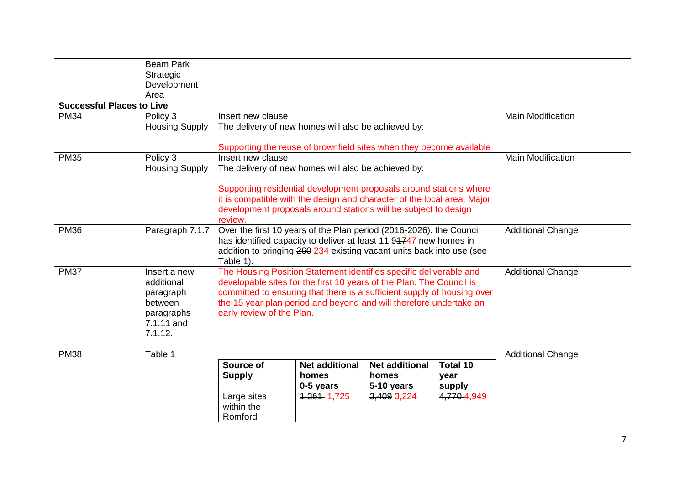|                                  | <b>Beam Park</b>      |                                                                                                                                            |                                                                         |                       |                 |                          |
|----------------------------------|-----------------------|--------------------------------------------------------------------------------------------------------------------------------------------|-------------------------------------------------------------------------|-----------------------|-----------------|--------------------------|
|                                  | Strategic             |                                                                                                                                            |                                                                         |                       |                 |                          |
|                                  | Development           |                                                                                                                                            |                                                                         |                       |                 |                          |
|                                  | Area                  |                                                                                                                                            |                                                                         |                       |                 |                          |
| <b>Successful Places to Live</b> |                       |                                                                                                                                            |                                                                         |                       |                 |                          |
| <b>PM34</b>                      | Policy 3              | Insert new clause                                                                                                                          |                                                                         |                       |                 | <b>Main Modification</b> |
|                                  | <b>Housing Supply</b> |                                                                                                                                            | The delivery of new homes will also be achieved by:                     |                       |                 |                          |
|                                  |                       |                                                                                                                                            | Supporting the reuse of brownfield sites when they become available     |                       |                 |                          |
| <b>PM35</b>                      | Policy 3              | Insert new clause                                                                                                                          |                                                                         |                       |                 | <b>Main Modification</b> |
|                                  | <b>Housing Supply</b> |                                                                                                                                            | The delivery of new homes will also be achieved by:                     |                       |                 |                          |
|                                  |                       |                                                                                                                                            | Supporting residential development proposals around stations where      |                       |                 |                          |
|                                  |                       |                                                                                                                                            | it is compatible with the design and character of the local area. Major |                       |                 |                          |
|                                  |                       |                                                                                                                                            | development proposals around stations will be subject to design         |                       |                 |                          |
|                                  |                       | review.                                                                                                                                    |                                                                         |                       |                 |                          |
| <b>PM36</b>                      | Paragraph 7.1.7       |                                                                                                                                            | Over the first 10 years of the Plan period (2016-2026), the Council     |                       |                 | <b>Additional Change</b> |
|                                  |                       |                                                                                                                                            | has identified capacity to deliver at least 11,94747 new homes in       |                       |                 |                          |
|                                  |                       |                                                                                                                                            | addition to bringing 260 234 existing vacant units back into use (see   |                       |                 |                          |
| <b>PM37</b>                      | Insert a new          | Table 1).                                                                                                                                  |                                                                         |                       |                 |                          |
|                                  | additional            | The Housing Position Statement identifies specific deliverable and<br>developable sites for the first 10 years of the Plan. The Council is |                                                                         |                       |                 | <b>Additional Change</b> |
|                                  | paragraph             |                                                                                                                                            | committed to ensuring that there is a sufficient supply of housing over |                       |                 |                          |
|                                  | between               |                                                                                                                                            | the 15 year plan period and beyond and will therefore undertake an      |                       |                 |                          |
|                                  | paragraphs            | early review of the Plan.                                                                                                                  |                                                                         |                       |                 |                          |
|                                  | 7.1.11 and            |                                                                                                                                            |                                                                         |                       |                 |                          |
|                                  | 7.1.12.               |                                                                                                                                            |                                                                         |                       |                 |                          |
| <b>PM38</b>                      | Table 1               |                                                                                                                                            |                                                                         |                       |                 |                          |
|                                  |                       | Source of                                                                                                                                  | <b>Net additional</b>                                                   | <b>Net additional</b> | <b>Total 10</b> | <b>Additional Change</b> |
|                                  |                       | <b>Supply</b>                                                                                                                              | homes                                                                   | homes                 | year            |                          |
|                                  |                       |                                                                                                                                            | 0-5 years                                                               | 5-10 years            | supply          |                          |
|                                  |                       | Large sites                                                                                                                                | 1,361 1,725                                                             | 3,409 3,224           | 4,770 4,949     |                          |
|                                  |                       | within the                                                                                                                                 |                                                                         |                       |                 |                          |
|                                  |                       | Romford                                                                                                                                    |                                                                         |                       |                 |                          |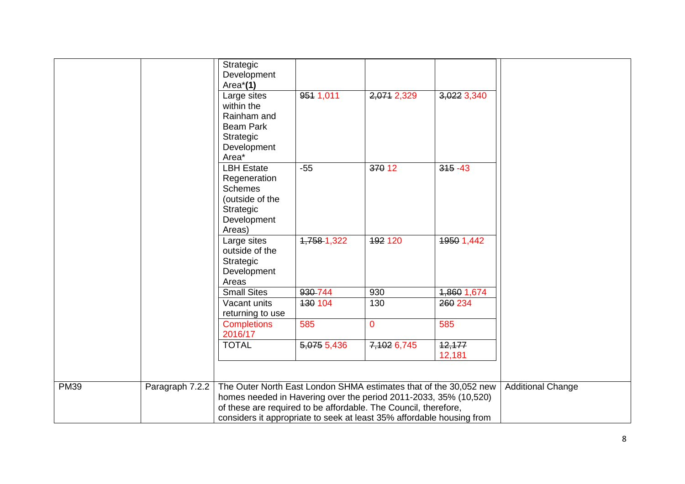|             |                 | Strategic<br>Development                                              |             |                |             |                          |
|-------------|-----------------|-----------------------------------------------------------------------|-------------|----------------|-------------|--------------------------|
|             |                 | Area $*(1)$                                                           |             |                |             |                          |
|             |                 | Large sites                                                           | 951 1,011   | 2,071 2,329    | 3,022 3,340 |                          |
|             |                 | within the                                                            |             |                |             |                          |
|             |                 | Rainham and<br><b>Beam Park</b>                                       |             |                |             |                          |
|             |                 | Strategic                                                             |             |                |             |                          |
|             |                 | Development                                                           |             |                |             |                          |
|             |                 | Area*                                                                 |             |                |             |                          |
|             |                 | <b>LBH Estate</b>                                                     | $-55$       | 370 12         | $315 - 43$  |                          |
|             |                 | Regeneration                                                          |             |                |             |                          |
|             |                 | <b>Schemes</b>                                                        |             |                |             |                          |
|             |                 | (outside of the                                                       |             |                |             |                          |
|             |                 | Strategic                                                             |             |                |             |                          |
|             |                 | Development                                                           |             |                |             |                          |
|             |                 | Areas)                                                                | 1,758-1,322 |                |             |                          |
|             |                 | Large sites<br>outside of the                                         |             | 192 120        | 1950 1,442  |                          |
|             |                 | Strategic                                                             |             |                |             |                          |
|             |                 | Development                                                           |             |                |             |                          |
|             |                 | Areas                                                                 |             |                |             |                          |
|             |                 | <b>Small Sites</b>                                                    | 930-744     | 930            | 1,860 1,674 |                          |
|             |                 | Vacant units                                                          | 130 104     | 130            | 260 234     |                          |
|             |                 | returning to use                                                      |             |                |             |                          |
|             |                 | <b>Completions</b><br>2016/17                                         | 585         | $\overline{0}$ | 585         |                          |
|             |                 | <b>TOTAL</b>                                                          | 5,075 5,436 | 7,102 6,745    | 12,177      |                          |
|             |                 |                                                                       |             |                | 12,181      |                          |
|             |                 |                                                                       |             |                |             |                          |
| <b>PM39</b> | Paragraph 7.2.2 | The Outer North East London SHMA estimates that of the 30,052 new     |             |                |             | <b>Additional Change</b> |
|             |                 | homes needed in Havering over the period 2011-2033, 35% (10,520)      |             |                |             |                          |
|             |                 | of these are required to be affordable. The Council, therefore,       |             |                |             |                          |
|             |                 | considers it appropriate to seek at least 35% affordable housing from |             |                |             |                          |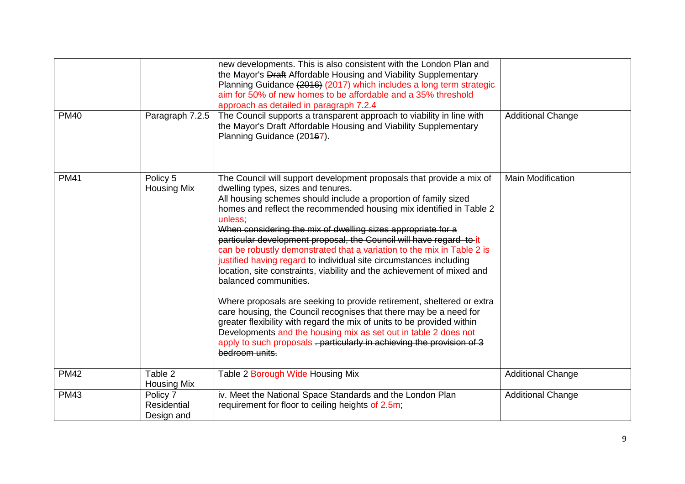|             |                                       | new developments. This is also consistent with the London Plan and<br>the Mayor's Draft Affordable Housing and Viability Supplementary<br>Planning Guidance (2016) (2017) which includes a long term strategic<br>aim for 50% of new homes to be affordable and a 35% threshold<br>approach as detailed in paragraph 7.2.4                                                                                                                                                                                                                                                                                                                                                                                                                                                                                                                                                                                                                                                                                                                       |                          |
|-------------|---------------------------------------|--------------------------------------------------------------------------------------------------------------------------------------------------------------------------------------------------------------------------------------------------------------------------------------------------------------------------------------------------------------------------------------------------------------------------------------------------------------------------------------------------------------------------------------------------------------------------------------------------------------------------------------------------------------------------------------------------------------------------------------------------------------------------------------------------------------------------------------------------------------------------------------------------------------------------------------------------------------------------------------------------------------------------------------------------|--------------------------|
| <b>PM40</b> | Paragraph 7.2.5                       | The Council supports a transparent approach to viability in line with<br>the Mayor's Draft-Affordable Housing and Viability Supplementary<br>Planning Guidance (20167).                                                                                                                                                                                                                                                                                                                                                                                                                                                                                                                                                                                                                                                                                                                                                                                                                                                                          | <b>Additional Change</b> |
| <b>PM41</b> | Policy 5<br><b>Housing Mix</b>        | The Council will support development proposals that provide a mix of<br>dwelling types, sizes and tenures.<br>All housing schemes should include a proportion of family sized<br>homes and reflect the recommended housing mix identified in Table 2<br>unless:<br>When considering the mix of dwelling sizes appropriate for a<br>particular development proposal, the Council will have regard to it<br>can be robustly demonstrated that a variation to the mix in Table 2 is<br>justified having regard to individual site circumstances including<br>location, site constraints, viability and the achievement of mixed and<br>balanced communities.<br>Where proposals are seeking to provide retirement, sheltered or extra<br>care housing, the Council recognises that there may be a need for<br>greater flexibility with regard the mix of units to be provided within<br>Developments and the housing mix as set out in table 2 does not<br>apply to such proposals - particularly in achieving the provision of 3<br>bedroom units. | <b>Main Modification</b> |
| <b>PM42</b> | Table 2<br><b>Housing Mix</b>         | Table 2 Borough Wide Housing Mix                                                                                                                                                                                                                                                                                                                                                                                                                                                                                                                                                                                                                                                                                                                                                                                                                                                                                                                                                                                                                 | <b>Additional Change</b> |
| <b>PM43</b> | Policy 7<br>Residential<br>Design and | iv. Meet the National Space Standards and the London Plan<br>requirement for floor to ceiling heights of 2.5m;                                                                                                                                                                                                                                                                                                                                                                                                                                                                                                                                                                                                                                                                                                                                                                                                                                                                                                                                   | <b>Additional Change</b> |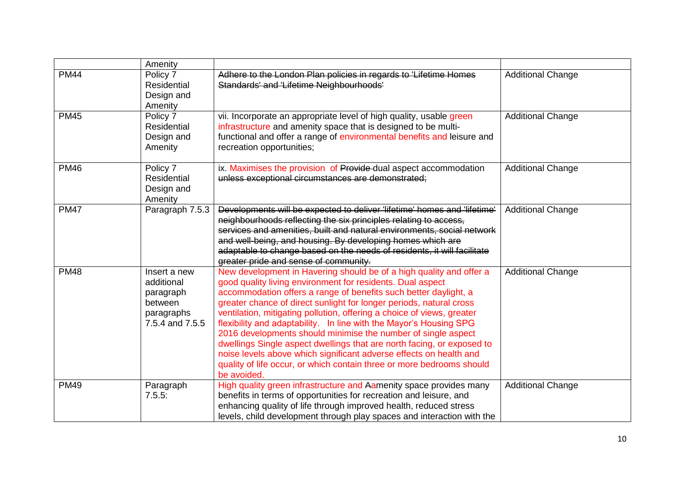|             | Amenity                                                                             |                                                                                                                                                                                                                                                                                                                                                                                                                                                                                                                                                                                                                                                                                                                                       |                          |
|-------------|-------------------------------------------------------------------------------------|---------------------------------------------------------------------------------------------------------------------------------------------------------------------------------------------------------------------------------------------------------------------------------------------------------------------------------------------------------------------------------------------------------------------------------------------------------------------------------------------------------------------------------------------------------------------------------------------------------------------------------------------------------------------------------------------------------------------------------------|--------------------------|
| <b>PM44</b> | Policy 7<br><b>Residential</b><br>Design and<br>Amenity                             | Adhere to the London Plan policies in regards to 'Lifetime Homes<br>Standards' and 'Lifetime Neighbourhoods'                                                                                                                                                                                                                                                                                                                                                                                                                                                                                                                                                                                                                          | <b>Additional Change</b> |
| <b>PM45</b> | Policy 7<br>Residential<br>Design and<br>Amenity                                    | vii. Incorporate an appropriate level of high quality, usable green<br>infrastructure and amenity space that is designed to be multi-<br>functional and offer a range of environmental benefits and leisure and<br>recreation opportunities;                                                                                                                                                                                                                                                                                                                                                                                                                                                                                          | <b>Additional Change</b> |
| <b>PM46</b> | Policy 7<br>Residential<br>Design and<br>Amenity                                    | ix. Maximises the provision of Provide dual aspect accommodation<br>unless exceptional circumstances are demonstrated;                                                                                                                                                                                                                                                                                                                                                                                                                                                                                                                                                                                                                | <b>Additional Change</b> |
| <b>PM47</b> | Paragraph 7.5.3                                                                     | Developments will be expected to deliver 'lifetime' homes and 'lifetime'<br>neighbourhoods reflecting the six principles relating to access,<br>services and amenities, built and natural environments, social network<br>and well-being, and housing. By developing homes which are<br>adaptable to change based on the needs of residents, it will facilitate<br>greater pride and sense of community.                                                                                                                                                                                                                                                                                                                              | <b>Additional Change</b> |
| <b>PM48</b> | Insert a new<br>additional<br>paragraph<br>between<br>paragraphs<br>7.5.4 and 7.5.5 | New development in Havering should be of a high quality and offer a<br>good quality living environment for residents. Dual aspect<br>accommodation offers a range of benefits such better daylight, a<br>greater chance of direct sunlight for longer periods, natural cross<br>ventilation, mitigating pollution, offering a choice of views, greater<br>flexibility and adaptability. In line with the Mayor's Housing SPG<br>2016 developments should minimise the number of single aspect<br>dwellings Single aspect dwellings that are north facing, or exposed to<br>noise levels above which significant adverse effects on health and<br>quality of life occur, or which contain three or more bedrooms should<br>be avoided. | <b>Additional Change</b> |
| <b>PM49</b> | Paragraph<br>7.5.5:                                                                 | High quality green infrastructure and Aamenity space provides many<br>benefits in terms of opportunities for recreation and leisure, and<br>enhancing quality of life through improved health, reduced stress<br>levels, child development through play spaces and interaction with the                                                                                                                                                                                                                                                                                                                                                                                                                                               | <b>Additional Change</b> |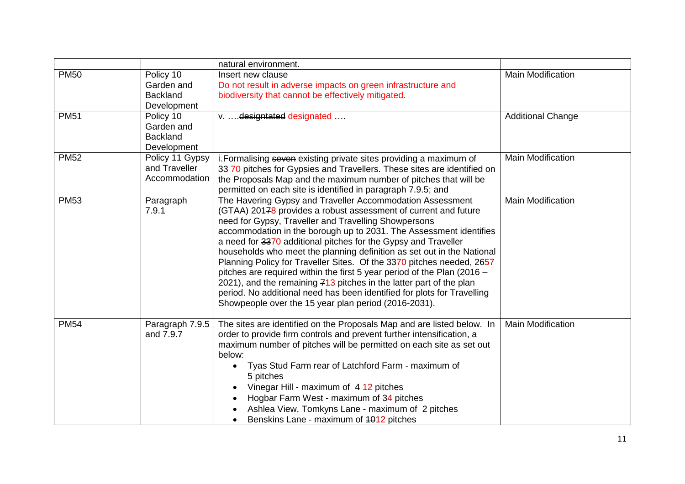|             |                                                           | natural environment.                                                                                                                                                                                                                                                                                                                                                                                                                                                                                                                                                                                                                                                                                                                                                 |                          |
|-------------|-----------------------------------------------------------|----------------------------------------------------------------------------------------------------------------------------------------------------------------------------------------------------------------------------------------------------------------------------------------------------------------------------------------------------------------------------------------------------------------------------------------------------------------------------------------------------------------------------------------------------------------------------------------------------------------------------------------------------------------------------------------------------------------------------------------------------------------------|--------------------------|
| <b>PM50</b> | Policy 10<br>Garden and<br><b>Backland</b><br>Development | Insert new clause<br>Do not result in adverse impacts on green infrastructure and<br>biodiversity that cannot be effectively mitigated.                                                                                                                                                                                                                                                                                                                                                                                                                                                                                                                                                                                                                              | <b>Main Modification</b> |
| <b>PM51</b> | Policy 10<br>Garden and<br><b>Backland</b><br>Development | v.  designtated designated                                                                                                                                                                                                                                                                                                                                                                                                                                                                                                                                                                                                                                                                                                                                           | <b>Additional Change</b> |
| <b>PM52</b> | Policy 11 Gypsy<br>and Traveller<br>Accommodation         | i. Formalising seven existing private sites providing a maximum of<br>33 70 pitches for Gypsies and Travellers. These sites are identified on<br>the Proposals Map and the maximum number of pitches that will be<br>permitted on each site is identified in paragraph 7.9.5; and                                                                                                                                                                                                                                                                                                                                                                                                                                                                                    | <b>Main Modification</b> |
| <b>PM53</b> | Paragraph<br>7.9.1                                        | The Havering Gypsy and Traveller Accommodation Assessment<br>(GTAA) 20178 provides a robust assessment of current and future<br>need for Gypsy, Traveller and Travelling Showpersons<br>accommodation in the borough up to 2031. The Assessment identifies<br>a need for 3370 additional pitches for the Gypsy and Traveller<br>households who meet the planning definition as set out in the National<br>Planning Policy for Traveller Sites. Of the 3370 pitches needed, 2657<br>pitches are required within the first 5 year period of the Plan (2016 -<br>2021), and the remaining 713 pitches in the latter part of the plan<br>period. No additional need has been identified for plots for Travelling<br>Showpeople over the 15 year plan period (2016-2031). | <b>Main Modification</b> |
| <b>PM54</b> | Paragraph 7.9.5<br>and 7.9.7                              | The sites are identified on the Proposals Map and are listed below. In<br>order to provide firm controls and prevent further intensification, a<br>maximum number of pitches will be permitted on each site as set out<br>below:<br>Tyas Stud Farm rear of Latchford Farm - maximum of<br>$\bullet$<br>5 pitches<br>Vinegar Hill - maximum of 4-12 pitches<br>$\bullet$<br>Hogbar Farm West - maximum of 34 pitches<br>Ashlea View, Tomkyns Lane - maximum of 2 pitches<br>Benskins Lane - maximum of 4012 pitches                                                                                                                                                                                                                                                   | <b>Main Modification</b> |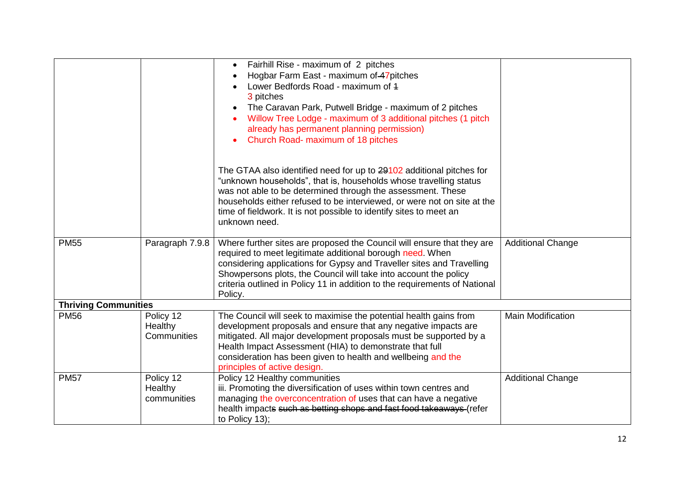|                             |                 | Fairhill Rise - maximum of 2 pitches<br>$\bullet$                                                                                     |                          |
|-----------------------------|-----------------|---------------------------------------------------------------------------------------------------------------------------------------|--------------------------|
|                             |                 | Hogbar Farm East - maximum of 47 pitches                                                                                              |                          |
|                             |                 | Lower Bedfords Road - maximum of 4                                                                                                    |                          |
|                             |                 | 3 pitches                                                                                                                             |                          |
|                             |                 | The Caravan Park, Putwell Bridge - maximum of 2 pitches<br>$\bullet$                                                                  |                          |
|                             |                 | Willow Tree Lodge - maximum of 3 additional pitches (1 pitch                                                                          |                          |
|                             |                 | already has permanent planning permission)                                                                                            |                          |
|                             |                 | Church Road- maximum of 18 pitches                                                                                                    |                          |
|                             |                 |                                                                                                                                       |                          |
|                             |                 | The GTAA also identified need for up to 29102 additional pitches for                                                                  |                          |
|                             |                 | "unknown households", that is, households whose travelling status                                                                     |                          |
|                             |                 | was not able to be determined through the assessment. These                                                                           |                          |
|                             |                 | households either refused to be interviewed, or were not on site at the                                                               |                          |
|                             |                 | time of fieldwork. It is not possible to identify sites to meet an                                                                    |                          |
|                             |                 | unknown need.                                                                                                                         |                          |
|                             |                 |                                                                                                                                       |                          |
| <b>PM55</b>                 | Paragraph 7.9.8 | Where further sites are proposed the Council will ensure that they are                                                                | <b>Additional Change</b> |
|                             |                 | required to meet legitimate additional borough need. When                                                                             |                          |
|                             |                 | considering applications for Gypsy and Traveller sites and Travelling                                                                 |                          |
|                             |                 | Showpersons plots, the Council will take into account the policy                                                                      |                          |
|                             |                 | criteria outlined in Policy 11 in addition to the requirements of National                                                            |                          |
|                             |                 | Policy.                                                                                                                               |                          |
| <b>Thriving Communities</b> |                 |                                                                                                                                       |                          |
| <b>PM56</b>                 | Policy 12       | The Council will seek to maximise the potential health gains from                                                                     | <b>Main Modification</b> |
|                             | Healthy         | development proposals and ensure that any negative impacts are                                                                        |                          |
|                             | Communities     | mitigated. All major development proposals must be supported by a                                                                     |                          |
|                             |                 | Health Impact Assessment (HIA) to demonstrate that full                                                                               |                          |
|                             |                 | consideration has been given to health and wellbeing and the                                                                          |                          |
|                             |                 | principles of active design.                                                                                                          |                          |
| <b>PM57</b>                 | Policy 12       | Policy 12 Healthy communities                                                                                                         | <b>Additional Change</b> |
|                             | Healthy         | iii. Promoting the diversification of uses within town centres and<br>managing the overconcentration of uses that can have a negative |                          |
|                             | communities     | health impacts such as betting shops and fast food takeaways (refer                                                                   |                          |
|                             |                 | to Policy 13);                                                                                                                        |                          |
|                             |                 |                                                                                                                                       |                          |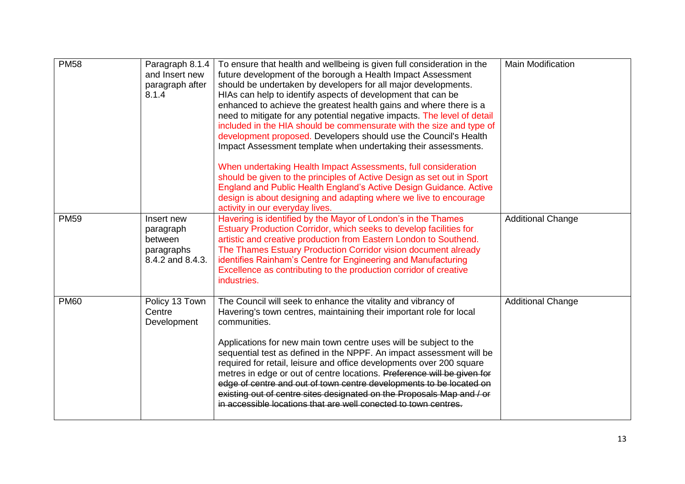| <b>PM58</b> | Paragraph 8.1.4<br>and Insert new<br>paragraph after<br>8.1.4        | To ensure that health and wellbeing is given full consideration in the<br>future development of the borough a Health Impact Assessment<br>should be undertaken by developers for all major developments.<br>HIAs can help to identify aspects of development that can be<br>enhanced to achieve the greatest health gains and where there is a<br>need to mitigate for any potential negative impacts. The level of detail<br>included in the HIA should be commensurate with the size and type of<br>development proposed. Developers should use the Council's Health<br>Impact Assessment template when undertaking their assessments.<br>When undertaking Health Impact Assessments, full consideration<br>should be given to the principles of Active Design as set out in Sport<br>England and Public Health England's Active Design Guidance. Active<br>design is about designing and adapting where we live to encourage<br>activity in our everyday lives. | <b>Main Modification</b> |
|-------------|----------------------------------------------------------------------|--------------------------------------------------------------------------------------------------------------------------------------------------------------------------------------------------------------------------------------------------------------------------------------------------------------------------------------------------------------------------------------------------------------------------------------------------------------------------------------------------------------------------------------------------------------------------------------------------------------------------------------------------------------------------------------------------------------------------------------------------------------------------------------------------------------------------------------------------------------------------------------------------------------------------------------------------------------------|--------------------------|
| <b>PM59</b> | Insert new<br>paragraph<br>between<br>paragraphs<br>8.4.2 and 8.4.3. | Havering is identified by the Mayor of London's in the Thames<br>Estuary Production Corridor, which seeks to develop facilities for<br>artistic and creative production from Eastern London to Southend.<br>The Thames Estuary Production Corridor vision document already<br>identifies Rainham's Centre for Engineering and Manufacturing<br>Excellence as contributing to the production corridor of creative<br>industries.                                                                                                                                                                                                                                                                                                                                                                                                                                                                                                                                    | <b>Additional Change</b> |
| <b>PM60</b> | Policy 13 Town<br>Centre<br>Development                              | The Council will seek to enhance the vitality and vibrancy of<br>Havering's town centres, maintaining their important role for local<br>communities.<br>Applications for new main town centre uses will be subject to the<br>sequential test as defined in the NPPF. An impact assessment will be<br>required for retail, leisure and office developments over 200 square<br>metres in edge or out of centre locations. Preference will be given for<br>edge of centre and out of town centre developments to be located on<br>existing out of centre sites designated on the Proposals Map and / or<br>in accessible locations that are well conected to town centres.                                                                                                                                                                                                                                                                                            | <b>Additional Change</b> |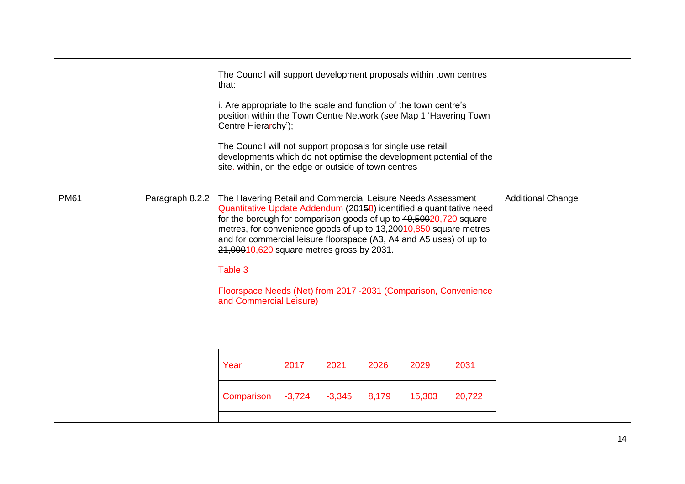|             |                 | The Council will support development proposals within town centres<br>that:<br>i. Are appropriate to the scale and function of the town centre's<br>position within the Town Centre Network (see Map 1 'Havering Town<br>Centre Hierarchy');<br>The Council will not support proposals for single use retail<br>developments which do not optimise the development potential of the<br>site. within, on the edge or outside of town centres                                                                                     |                  |                  |               |                |                |                          |
|-------------|-----------------|---------------------------------------------------------------------------------------------------------------------------------------------------------------------------------------------------------------------------------------------------------------------------------------------------------------------------------------------------------------------------------------------------------------------------------------------------------------------------------------------------------------------------------|------------------|------------------|---------------|----------------|----------------|--------------------------|
| <b>PM61</b> | Paragraph 8.2.2 | The Havering Retail and Commercial Leisure Needs Assessment<br>Quantitative Update Addendum (20158) identified a quantitative need<br>for the borough for comparison goods of up to 49,50020,720 square<br>metres, for convenience goods of up to 13,20010,850 square metres<br>and for commercial leisure floorspace (A3, A4 and A5 uses) of up to<br>21,00010,620 square metres gross by 2031.<br>Table 3<br>Floorspace Needs (Net) from 2017 -2031 (Comparison, Convenience<br>and Commercial Leisure)<br>Year<br>Comparison | 2017<br>$-3,724$ | 2021<br>$-3,345$ | 2026<br>8,179 | 2029<br>15,303 | 2031<br>20,722 | <b>Additional Change</b> |
|             |                 |                                                                                                                                                                                                                                                                                                                                                                                                                                                                                                                                 |                  |                  |               |                |                |                          |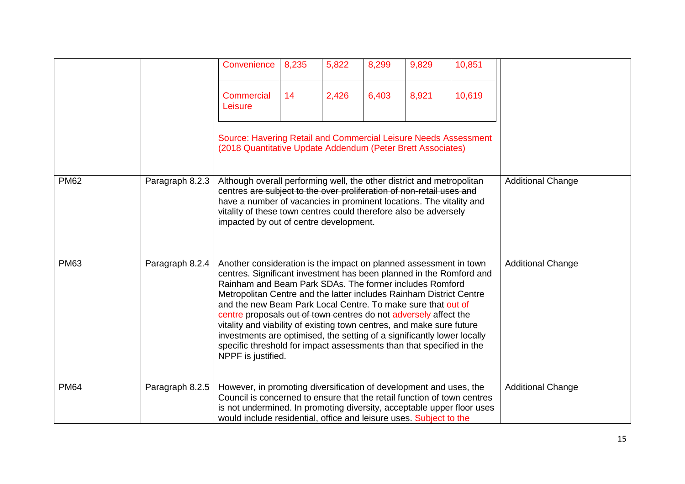|             |                 | Convenience                                                                                                                                                                                                                                                                                                                                                                                                                                                                                                                                                                                                                                                      | 8,235 | 5,822 | 8,299 | 9,829 | 10,851 |                          |
|-------------|-----------------|------------------------------------------------------------------------------------------------------------------------------------------------------------------------------------------------------------------------------------------------------------------------------------------------------------------------------------------------------------------------------------------------------------------------------------------------------------------------------------------------------------------------------------------------------------------------------------------------------------------------------------------------------------------|-------|-------|-------|-------|--------|--------------------------|
|             |                 | <b>Commercial</b><br>Leisure                                                                                                                                                                                                                                                                                                                                                                                                                                                                                                                                                                                                                                     | 14    | 2,426 | 6,403 | 8,921 | 10,619 |                          |
|             |                 | Source: Havering Retail and Commercial Leisure Needs Assessment<br>(2018 Quantitative Update Addendum (Peter Brett Associates)                                                                                                                                                                                                                                                                                                                                                                                                                                                                                                                                   |       |       |       |       |        |                          |
| <b>PM62</b> | Paragraph 8.2.3 | Although overall performing well, the other district and metropolitan<br>centres are subject to the over proliferation of non-retail uses and<br>have a number of vacancies in prominent locations. The vitality and<br>vitality of these town centres could therefore also be adversely<br>impacted by out of centre development.                                                                                                                                                                                                                                                                                                                               |       |       |       |       |        | <b>Additional Change</b> |
| <b>PM63</b> | Paragraph 8.2.4 | Another consideration is the impact on planned assessment in town<br>centres. Significant investment has been planned in the Romford and<br>Rainham and Beam Park SDAs. The former includes Romford<br>Metropolitan Centre and the latter includes Rainham District Centre<br>and the new Beam Park Local Centre. To make sure that out of<br>centre proposals out of town centres do not adversely affect the<br>vitality and viability of existing town centres, and make sure future<br>investments are optimised, the setting of a significantly lower locally<br>specific threshold for impact assessments than that specified in the<br>NPPF is justified. |       |       |       |       |        | <b>Additional Change</b> |
| <b>PM64</b> | Paragraph 8.2.5 | However, in promoting diversification of development and uses, the<br>Council is concerned to ensure that the retail function of town centres<br>is not undermined. In promoting diversity, acceptable upper floor uses<br>would include residential, office and leisure uses. Subject to the                                                                                                                                                                                                                                                                                                                                                                    |       |       |       |       |        | <b>Additional Change</b> |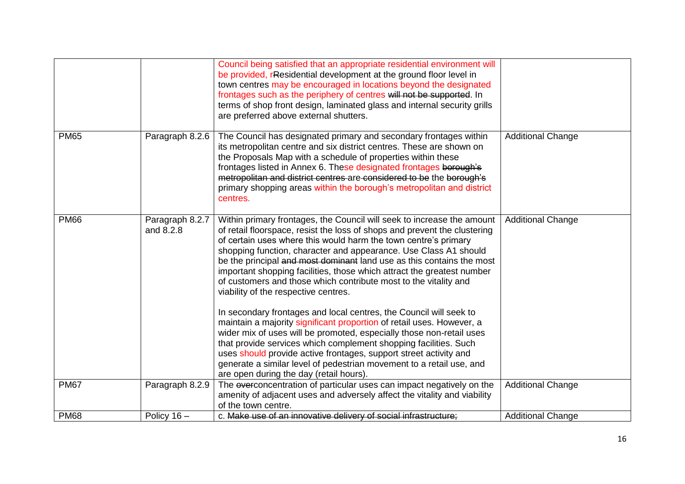|             |                              | Council being satisfied that an appropriate residential environment will<br>be provided, rResidential development at the ground floor level in<br>town centres may be encouraged in locations beyond the designated<br>frontages such as the periphery of centres will not be supported. In<br>terms of shop front design, laminated glass and internal security grills<br>are preferred above external shutters.                                                                                                                                         |                          |
|-------------|------------------------------|-----------------------------------------------------------------------------------------------------------------------------------------------------------------------------------------------------------------------------------------------------------------------------------------------------------------------------------------------------------------------------------------------------------------------------------------------------------------------------------------------------------------------------------------------------------|--------------------------|
| <b>PM65</b> | Paragraph 8.2.6              | The Council has designated primary and secondary frontages within<br>its metropolitan centre and six district centres. These are shown on<br>the Proposals Map with a schedule of properties within these<br>frontages listed in Annex 6. These designated frontages berough's<br>metropolitan and district centres are considered to be the borough's<br>primary shopping areas within the borough's metropolitan and district<br>centres.                                                                                                               | <b>Additional Change</b> |
| <b>PM66</b> | Paragraph 8.2.7<br>and 8.2.8 | Within primary frontages, the Council will seek to increase the amount<br>of retail floorspace, resist the loss of shops and prevent the clustering<br>of certain uses where this would harm the town centre's primary<br>shopping function, character and appearance. Use Class A1 should<br>be the principal and most dominant land use as this contains the most<br>important shopping facilities, those which attract the greatest number<br>of customers and those which contribute most to the vitality and<br>viability of the respective centres. | <b>Additional Change</b> |
|             |                              | In secondary frontages and local centres, the Council will seek to<br>maintain a majority significant proportion of retail uses. However, a<br>wider mix of uses will be promoted, especially those non-retail uses<br>that provide services which complement shopping facilities. Such<br>uses should provide active frontages, support street activity and<br>generate a similar level of pedestrian movement to a retail use, and<br>are open during the day (retail hours).                                                                           |                          |
| <b>PM67</b> | Paragraph 8.2.9              | The everconcentration of particular uses can impact negatively on the<br>amenity of adjacent uses and adversely affect the vitality and viability<br>of the town centre.                                                                                                                                                                                                                                                                                                                                                                                  | <b>Additional Change</b> |
| <b>PM68</b> | Policy $16 -$                | c. Make use of an innovative delivery of social infrastructure;                                                                                                                                                                                                                                                                                                                                                                                                                                                                                           | <b>Additional Change</b> |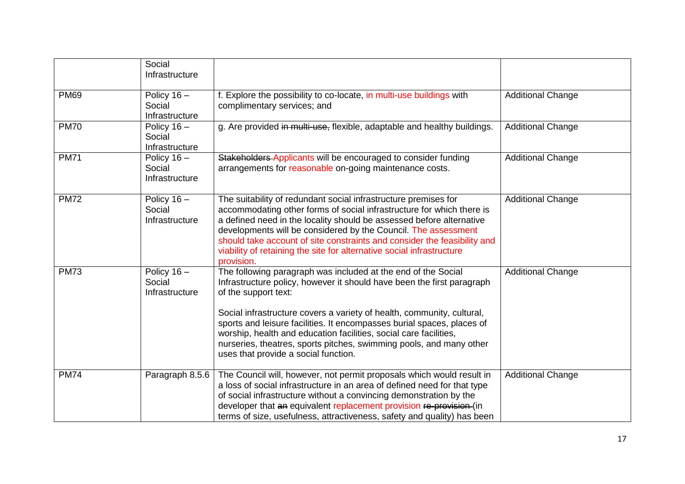|             | Social<br>Infrastructure                  |                                                                                                                                                                                                                                                                                                                                                                                                                                                                                                         |                          |
|-------------|-------------------------------------------|---------------------------------------------------------------------------------------------------------------------------------------------------------------------------------------------------------------------------------------------------------------------------------------------------------------------------------------------------------------------------------------------------------------------------------------------------------------------------------------------------------|--------------------------|
| <b>PM69</b> | Policy $16 -$<br>Social<br>Infrastructure | f. Explore the possibility to co-locate, in multi-use buildings with<br>complimentary services; and                                                                                                                                                                                                                                                                                                                                                                                                     | <b>Additional Change</b> |
| <b>PM70</b> | Policy $16 -$<br>Social<br>Infrastructure | g. Are provided in multi-use, flexible, adaptable and healthy buildings.                                                                                                                                                                                                                                                                                                                                                                                                                                | <b>Additional Change</b> |
| <b>PM71</b> | Policy $16 -$<br>Social<br>Infrastructure | Stakeholders Applicants will be encouraged to consider funding<br>arrangements for reasonable on-going maintenance costs.                                                                                                                                                                                                                                                                                                                                                                               | <b>Additional Change</b> |
| <b>PM72</b> | Policy $16 -$<br>Social<br>Infrastructure | The suitability of redundant social infrastructure premises for<br>accommodating other forms of social infrastructure for which there is<br>a defined need in the locality should be assessed before alternative<br>developments will be considered by the Council. The assessment<br>should take account of site constraints and consider the feasibility and<br>viability of retaining the site for alternative social infrastructure<br>provision.                                                   | <b>Additional Change</b> |
| <b>PM73</b> | Policy $16 -$<br>Social<br>Infrastructure | The following paragraph was included at the end of the Social<br>Infrastructure policy, however it should have been the first paragraph<br>of the support text:<br>Social infrastructure covers a variety of health, community, cultural,<br>sports and leisure facilities. It encompasses burial spaces, places of<br>worship, health and education facilities, social care facilities,<br>nurseries, theatres, sports pitches, swimming pools, and many other<br>uses that provide a social function. | <b>Additional Change</b> |
| <b>PM74</b> | Paragraph 8.5.6                           | The Council will, however, not permit proposals which would result in<br>a loss of social infrastructure in an area of defined need for that type<br>of social infrastructure without a convincing demonstration by the<br>developer that an equivalent replacement provision re-provision (in<br>terms of size, usefulness, attractiveness, safety and quality) has been                                                                                                                               | <b>Additional Change</b> |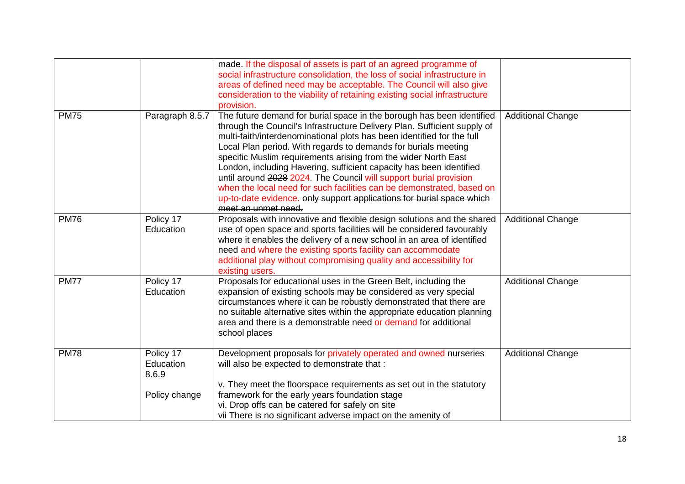|             |                                                  | made. If the disposal of assets is part of an agreed programme of<br>social infrastructure consolidation, the loss of social infrastructure in<br>areas of defined need may be acceptable. The Council will also give<br>consideration to the viability of retaining existing social infrastructure<br>provision.                                                                                                                                                                                                                                                                                                                                                                    |                          |
|-------------|--------------------------------------------------|--------------------------------------------------------------------------------------------------------------------------------------------------------------------------------------------------------------------------------------------------------------------------------------------------------------------------------------------------------------------------------------------------------------------------------------------------------------------------------------------------------------------------------------------------------------------------------------------------------------------------------------------------------------------------------------|--------------------------|
| <b>PM75</b> | Paragraph 8.5.7                                  | The future demand for burial space in the borough has been identified<br>through the Council's Infrastructure Delivery Plan. Sufficient supply of<br>multi-faith/interdenominational plots has been identified for the full<br>Local Plan period. With regards to demands for burials meeting<br>specific Muslim requirements arising from the wider North East<br>London, including Havering, sufficient capacity has been identified<br>until around 2028 2024. The Council will support burial provision<br>when the local need for such facilities can be demonstrated, based on<br>up-to-date evidence. only support applications for burial space which<br>meet an unmet need. | <b>Additional Change</b> |
| <b>PM76</b> | Policy 17<br>Education                           | Proposals with innovative and flexible design solutions and the shared<br>use of open space and sports facilities will be considered favourably<br>where it enables the delivery of a new school in an area of identified<br>need and where the existing sports facility can accommodate<br>additional play without compromising quality and accessibility for<br>existing users.                                                                                                                                                                                                                                                                                                    | <b>Additional Change</b> |
| <b>PM77</b> | Policy 17<br>Education                           | Proposals for educational uses in the Green Belt, including the<br>expansion of existing schools may be considered as very special<br>circumstances where it can be robustly demonstrated that there are<br>no suitable alternative sites within the appropriate education planning<br>area and there is a demonstrable need or demand for additional<br>school places                                                                                                                                                                                                                                                                                                               | <b>Additional Change</b> |
| <b>PM78</b> | Policy 17<br>Education<br>8.6.9<br>Policy change | Development proposals for privately operated and owned nurseries<br>will also be expected to demonstrate that :<br>v. They meet the floorspace requirements as set out in the statutory<br>framework for the early years foundation stage<br>vi. Drop offs can be catered for safely on site<br>vii There is no significant adverse impact on the amenity of                                                                                                                                                                                                                                                                                                                         | <b>Additional Change</b> |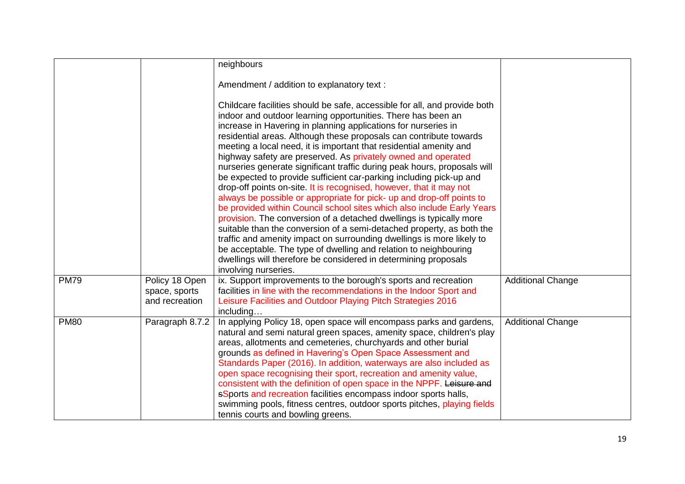|             |                                                   | neighbours                                                                                                                                                                                                                                                                                                                                                                                                                                                                                                                                                                                                                                                                                                                                                                                                                                                                                                                                                                                                                                                                                                                                                                                    |                          |
|-------------|---------------------------------------------------|-----------------------------------------------------------------------------------------------------------------------------------------------------------------------------------------------------------------------------------------------------------------------------------------------------------------------------------------------------------------------------------------------------------------------------------------------------------------------------------------------------------------------------------------------------------------------------------------------------------------------------------------------------------------------------------------------------------------------------------------------------------------------------------------------------------------------------------------------------------------------------------------------------------------------------------------------------------------------------------------------------------------------------------------------------------------------------------------------------------------------------------------------------------------------------------------------|--------------------------|
|             |                                                   | Amendment / addition to explanatory text :                                                                                                                                                                                                                                                                                                                                                                                                                                                                                                                                                                                                                                                                                                                                                                                                                                                                                                                                                                                                                                                                                                                                                    |                          |
|             |                                                   | Childcare facilities should be safe, accessible for all, and provide both<br>indoor and outdoor learning opportunities. There has been an<br>increase in Havering in planning applications for nurseries in<br>residential areas. Although these proposals can contribute towards<br>meeting a local need, it is important that residential amenity and<br>highway safety are preserved. As privately owned and operated<br>nurseries generate significant traffic during peak hours, proposals will<br>be expected to provide sufficient car-parking including pick-up and<br>drop-off points on-site. It is recognised, however, that it may not<br>always be possible or appropriate for pick- up and drop-off points to<br>be provided within Council school sites which also include Early Years<br>provision. The conversion of a detached dwellings is typically more<br>suitable than the conversion of a semi-detached property, as both the<br>traffic and amenity impact on surrounding dwellings is more likely to<br>be acceptable. The type of dwelling and relation to neighbouring<br>dwellings will therefore be considered in determining proposals<br>involving nurseries. |                          |
| <b>PM79</b> | Policy 18 Open<br>space, sports<br>and recreation | ix. Support improvements to the borough's sports and recreation<br>facilities in line with the recommendations in the Indoor Sport and<br>Leisure Facilities and Outdoor Playing Pitch Strategies 2016<br>including                                                                                                                                                                                                                                                                                                                                                                                                                                                                                                                                                                                                                                                                                                                                                                                                                                                                                                                                                                           | <b>Additional Change</b> |
| <b>PM80</b> | Paragraph 8.7.2                                   | In applying Policy 18, open space will encompass parks and gardens,<br>natural and semi natural green spaces, amenity space, children's play<br>areas, allotments and cemeteries, churchyards and other burial<br>grounds as defined in Havering's Open Space Assessment and<br>Standards Paper (2016). In addition, waterways are also included as<br>open space recognising their sport, recreation and amenity value,<br>consistent with the definition of open space in the NPPF. Leisure and<br>sSports and recreation facilities encompass indoor sports halls,<br>swimming pools, fitness centres, outdoor sports pitches, playing fields<br>tennis courts and bowling greens.                                                                                                                                                                                                                                                                                                                                                                                                                                                                                                         | <b>Additional Change</b> |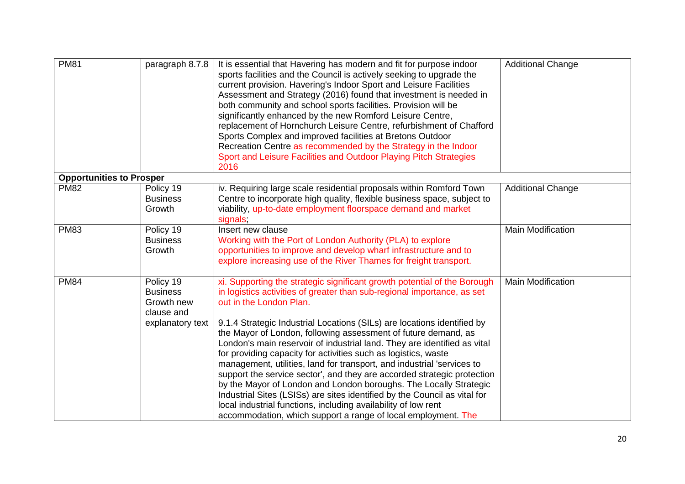| <b>PM81</b>                     | paragraph 8.7.8                                                              | It is essential that Havering has modern and fit for purpose indoor<br>sports facilities and the Council is actively seeking to upgrade the<br>current provision. Havering's Indoor Sport and Leisure Facilities<br>Assessment and Strategy (2016) found that investment is needed in<br>both community and school sports facilities. Provision will be<br>significantly enhanced by the new Romford Leisure Centre,<br>replacement of Hornchurch Leisure Centre, refurbishment of Chafford<br>Sports Complex and improved facilities at Bretons Outdoor<br>Recreation Centre as recommended by the Strategy in the Indoor<br>Sport and Leisure Facilities and Outdoor Playing Pitch Strategies<br>2016                                                                                                                                                                                                             | <b>Additional Change</b> |
|---------------------------------|------------------------------------------------------------------------------|---------------------------------------------------------------------------------------------------------------------------------------------------------------------------------------------------------------------------------------------------------------------------------------------------------------------------------------------------------------------------------------------------------------------------------------------------------------------------------------------------------------------------------------------------------------------------------------------------------------------------------------------------------------------------------------------------------------------------------------------------------------------------------------------------------------------------------------------------------------------------------------------------------------------|--------------------------|
| <b>Opportunities to Prosper</b> |                                                                              |                                                                                                                                                                                                                                                                                                                                                                                                                                                                                                                                                                                                                                                                                                                                                                                                                                                                                                                     |                          |
| <b>PM82</b>                     | Policy 19<br><b>Business</b><br>Growth                                       | iv. Requiring large scale residential proposals within Romford Town<br>Centre to incorporate high quality, flexible business space, subject to<br>viability, up-to-date employment floorspace demand and market<br>signals,                                                                                                                                                                                                                                                                                                                                                                                                                                                                                                                                                                                                                                                                                         | <b>Additional Change</b> |
| <b>PM83</b>                     | Policy 19<br><b>Business</b><br>Growth                                       | Insert new clause<br>Working with the Port of London Authority (PLA) to explore<br>opportunities to improve and develop wharf infrastructure and to<br>explore increasing use of the River Thames for freight transport.                                                                                                                                                                                                                                                                                                                                                                                                                                                                                                                                                                                                                                                                                            | <b>Main Modification</b> |
| <b>PM84</b>                     | Policy 19<br><b>Business</b><br>Growth new<br>clause and<br>explanatory text | xi. Supporting the strategic significant growth potential of the Borough<br>in logistics activities of greater than sub-regional importance, as set<br>out in the London Plan.<br>9.1.4 Strategic Industrial Locations (SILs) are locations identified by<br>the Mayor of London, following assessment of future demand, as<br>London's main reservoir of industrial land. They are identified as vital<br>for providing capacity for activities such as logistics, waste<br>management, utilities, land for transport, and industrial 'services to<br>support the service sector', and they are accorded strategic protection<br>by the Mayor of London and London boroughs. The Locally Strategic<br>Industrial Sites (LSISs) are sites identified by the Council as vital for<br>local industrial functions, including availability of low rent<br>accommodation, which support a range of local employment. The | <b>Main Modification</b> |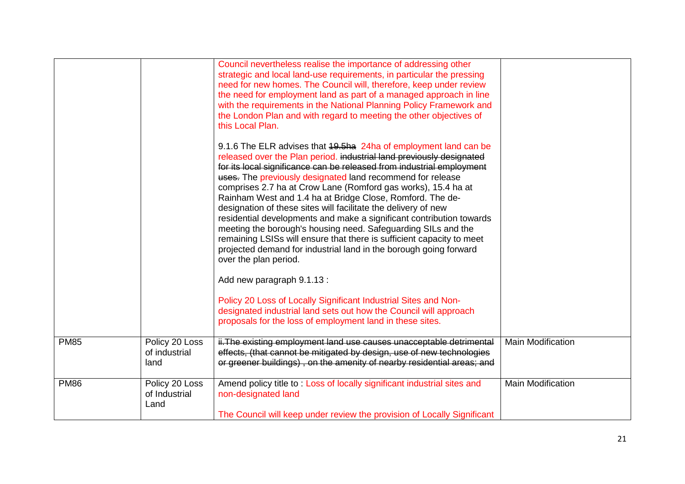|             |                                         | Council nevertheless realise the importance of addressing other<br>strategic and local land-use requirements, in particular the pressing<br>need for new homes. The Council will, therefore, keep under review<br>the need for employment land as part of a managed approach in line<br>with the requirements in the National Planning Policy Framework and<br>the London Plan and with regard to meeting the other objectives of<br>this Local Plan.                                                                                                                                                                                                                                                                                                                                           |                          |
|-------------|-----------------------------------------|-------------------------------------------------------------------------------------------------------------------------------------------------------------------------------------------------------------------------------------------------------------------------------------------------------------------------------------------------------------------------------------------------------------------------------------------------------------------------------------------------------------------------------------------------------------------------------------------------------------------------------------------------------------------------------------------------------------------------------------------------------------------------------------------------|--------------------------|
|             |                                         | 9.1.6 The ELR advises that 19.5ha 24ha of employment land can be<br>released over the Plan period. industrial land previously designated<br>for its local significance can be released from industrial employment<br>uses. The previously designated land recommend for release<br>comprises 2.7 ha at Crow Lane (Romford gas works), 15.4 ha at<br>Rainham West and 1.4 ha at Bridge Close, Romford. The de-<br>designation of these sites will facilitate the delivery of new<br>residential developments and make a significant contribution towards<br>meeting the borough's housing need. Safeguarding SILs and the<br>remaining LSISs will ensure that there is sufficient capacity to meet<br>projected demand for industrial land in the borough going forward<br>over the plan period. |                          |
|             |                                         | Add new paragraph 9.1.13 :                                                                                                                                                                                                                                                                                                                                                                                                                                                                                                                                                                                                                                                                                                                                                                      |                          |
|             |                                         | Policy 20 Loss of Locally Significant Industrial Sites and Non-<br>designated industrial land sets out how the Council will approach<br>proposals for the loss of employment land in these sites.                                                                                                                                                                                                                                                                                                                                                                                                                                                                                                                                                                                               |                          |
| <b>PM85</b> | Policy 20 Loss<br>of industrial<br>land | ii. The existing employment land use causes unacceptable detrimental<br>effects, (that cannot be mitigated by design, use of new technologies<br>or greener buildings), on the amenity of nearby residential areas; and                                                                                                                                                                                                                                                                                                                                                                                                                                                                                                                                                                         | <b>Main Modification</b> |
| <b>PM86</b> | Policy 20 Loss<br>of Industrial<br>Land | Amend policy title to: Loss of locally significant industrial sites and<br>non-designated land                                                                                                                                                                                                                                                                                                                                                                                                                                                                                                                                                                                                                                                                                                  | <b>Main Modification</b> |
|             |                                         | The Council will keep under review the provision of Locally Significant                                                                                                                                                                                                                                                                                                                                                                                                                                                                                                                                                                                                                                                                                                                         |                          |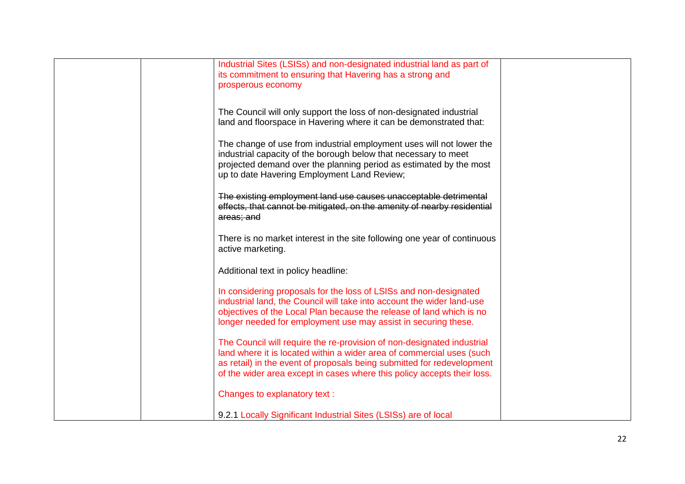| Industrial Sites (LSISs) and non-designated industrial land as part of<br>its commitment to ensuring that Havering has a strong and<br>prosperous economy                                                                                                                                            |  |
|------------------------------------------------------------------------------------------------------------------------------------------------------------------------------------------------------------------------------------------------------------------------------------------------------|--|
| The Council will only support the loss of non-designated industrial<br>land and floorspace in Havering where it can be demonstrated that:                                                                                                                                                            |  |
| The change of use from industrial employment uses will not lower the<br>industrial capacity of the borough below that necessary to meet<br>projected demand over the planning period as estimated by the most<br>up to date Havering Employment Land Review;                                         |  |
| The existing employment land use causes unacceptable detrimental<br>effects, that cannot be mitigated, on the amenity of nearby residential<br>areas; and                                                                                                                                            |  |
| There is no market interest in the site following one year of continuous<br>active marketing.                                                                                                                                                                                                        |  |
| Additional text in policy headline:                                                                                                                                                                                                                                                                  |  |
| In considering proposals for the loss of LSISs and non-designated<br>industrial land, the Council will take into account the wider land-use<br>objectives of the Local Plan because the release of land which is no<br>longer needed for employment use may assist in securing these.                |  |
| The Council will require the re-provision of non-designated industrial<br>land where it is located within a wider area of commercial uses (such<br>as retail) in the event of proposals being submitted for redevelopment<br>of the wider area except in cases where this policy accepts their loss. |  |
| Changes to explanatory text:                                                                                                                                                                                                                                                                         |  |
| 9.2.1 Locally Significant Industrial Sites (LSISs) are of local                                                                                                                                                                                                                                      |  |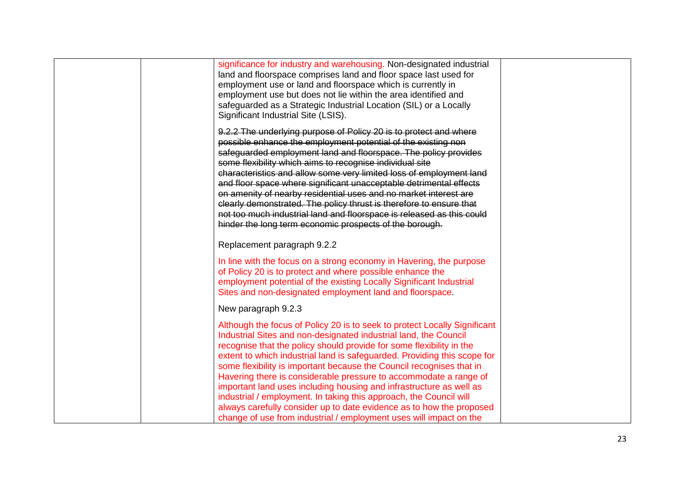| significance for industry and warehousing. Non-designated industrial<br>land and floorspace comprises land and floor space last used for<br>employment use or land and floorspace which is currently in<br>employment use but does not lie within the area identified and<br>safeguarded as a Strategic Industrial Location (SIL) or a Locally<br>Significant Industrial Site (LSIS).                                                                                                                                                                                                                                                                                                                                                     |
|-------------------------------------------------------------------------------------------------------------------------------------------------------------------------------------------------------------------------------------------------------------------------------------------------------------------------------------------------------------------------------------------------------------------------------------------------------------------------------------------------------------------------------------------------------------------------------------------------------------------------------------------------------------------------------------------------------------------------------------------|
| 9.2.2 The underlying purpose of Policy 20 is to protect and where<br>possible enhance the employment potential of the existing non<br>safeguarded employment land and floorspace. The policy provides<br>some flexibility which aims to recognise individual site<br>characteristics and allow some very limited loss of employment land<br>and floor space where significant unacceptable detrimental effects<br>on amenity of nearby residential uses and no market interest are<br>clearly demonstrated. The policy thrust is therefore to ensure that<br>not too much industrial land and floorspace is released as this could<br>hinder the long term economic prospects of the borough.                                             |
| Replacement paragraph 9.2.2                                                                                                                                                                                                                                                                                                                                                                                                                                                                                                                                                                                                                                                                                                               |
| In line with the focus on a strong economy in Havering, the purpose<br>of Policy 20 is to protect and where possible enhance the<br>employment potential of the existing Locally Significant Industrial<br>Sites and non-designated employment land and floorspace.                                                                                                                                                                                                                                                                                                                                                                                                                                                                       |
| New paragraph 9.2.3                                                                                                                                                                                                                                                                                                                                                                                                                                                                                                                                                                                                                                                                                                                       |
| Although the focus of Policy 20 is to seek to protect Locally Significant<br>Industrial Sites and non-designated industrial land, the Council<br>recognise that the policy should provide for some flexibility in the<br>extent to which industrial land is safeguarded. Providing this scope for<br>some flexibility is important because the Council recognises that in<br>Havering there is considerable pressure to accommodate a range of<br>important land uses including housing and infrastructure as well as<br>industrial / employment. In taking this approach, the Council will<br>always carefully consider up to date evidence as to how the proposed<br>change of use from industrial / employment uses will impact on the |
|                                                                                                                                                                                                                                                                                                                                                                                                                                                                                                                                                                                                                                                                                                                                           |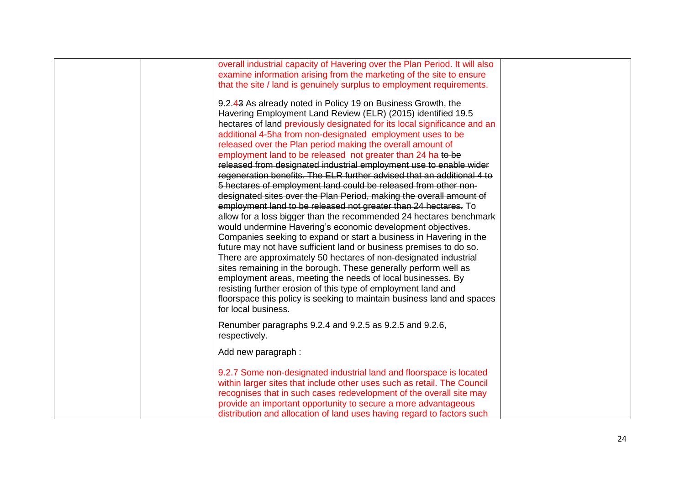| overall industrial capacity of Havering over the Plan Period. It will also |  |
|----------------------------------------------------------------------------|--|
| examine information arising from the marketing of the site to ensure       |  |
| that the site / land is genuinely surplus to employment requirements.      |  |
|                                                                            |  |
| 9.2.43 As already noted in Policy 19 on Business Growth, the               |  |
| Havering Employment Land Review (ELR) (2015) identified 19.5               |  |
| hectares of land previously designated for its local significance and an   |  |
| additional 4-5ha from non-designated employment uses to be                 |  |
| released over the Plan period making the overall amount of                 |  |
| employment land to be released not greater than 24 ha to be                |  |
| released from designated industrial employment use to enable wider         |  |
| regeneration benefits. The ELR further advised that an additional 4 to     |  |
| 5 hectares of employment land could be released from other non-            |  |
| designated sites over the Plan Period, making the overall amount of        |  |
| employment land to be released not greater than 24 hectares. To            |  |
| allow for a loss bigger than the recommended 24 hectares benchmark         |  |
| would undermine Havering's economic development objectives.                |  |
| Companies seeking to expand or start a business in Havering in the         |  |
| future may not have sufficient land or business premises to do so.         |  |
| There are approximately 50 hectares of non-designated industrial           |  |
| sites remaining in the borough. These generally perform well as            |  |
|                                                                            |  |
| employment areas, meeting the needs of local businesses. By                |  |
| resisting further erosion of this type of employment land and              |  |
| floorspace this policy is seeking to maintain business land and spaces     |  |
| for local business.                                                        |  |
| Renumber paragraphs 9.2.4 and 9.2.5 as 9.2.5 and 9.2.6,                    |  |
| respectively.                                                              |  |
|                                                                            |  |
| Add new paragraph:                                                         |  |
|                                                                            |  |
| 9.2.7 Some non-designated industrial land and floorspace is located        |  |
| within larger sites that include other uses such as retail. The Council    |  |
| recognises that in such cases redevelopment of the overall site may        |  |
| provide an important opportunity to secure a more advantageous             |  |
| distribution and allocation of land uses having regard to factors such     |  |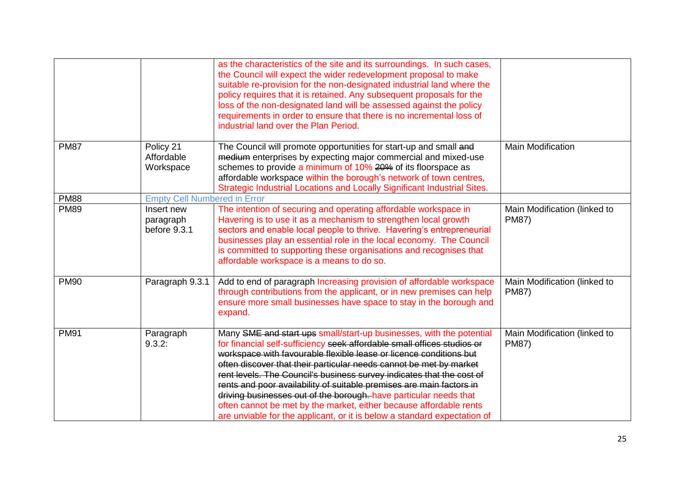|             |                                         | as the characteristics of the site and its surroundings. In such cases,<br>the Council will expect the wider redevelopment proposal to make<br>suitable re-provision for the non-designated industrial land where the<br>policy requires that it is retained. Any subsequent proposals for the<br>loss of the non-designated land will be assessed against the policy<br>requirements in order to ensure that there is no incremental loss of<br>industrial land over the Plan Period.                                                                                                                                                                              |                                              |
|-------------|-----------------------------------------|---------------------------------------------------------------------------------------------------------------------------------------------------------------------------------------------------------------------------------------------------------------------------------------------------------------------------------------------------------------------------------------------------------------------------------------------------------------------------------------------------------------------------------------------------------------------------------------------------------------------------------------------------------------------|----------------------------------------------|
| <b>PM87</b> | Policy 21<br>Affordable<br>Workspace    | The Council will promote opportunities for start-up and small and<br>medium enterprises by expecting major commercial and mixed-use<br>schemes to provide a minimum of 10% 20% of its floorspace as<br>affordable workspace within the borough's network of town centres,<br>Strategic Industrial Locations and Locally Significant Industrial Sites.                                                                                                                                                                                                                                                                                                               | <b>Main Modification</b>                     |
| <b>PM88</b> | <b>Empty Cell Numbered in Error</b>     |                                                                                                                                                                                                                                                                                                                                                                                                                                                                                                                                                                                                                                                                     |                                              |
| <b>PM89</b> | Insert new<br>paragraph<br>before 9.3.1 | The intention of securing and operating affordable workspace in<br>Havering is to use it as a mechanism to strengthen local growth<br>sectors and enable local people to thrive. Havering's entrepreneurial<br>businesses play an essential role in the local economy. The Council<br>is committed to supporting these organisations and recognises that<br>affordable workspace is a means to do so.                                                                                                                                                                                                                                                               | Main Modification (linked to<br><b>PM87)</b> |
| <b>PM90</b> | Paragraph 9.3.1                         | Add to end of paragraph Increasing provision of affordable workspace<br>through contributions from the applicant, or in new premises can help<br>ensure more small businesses have space to stay in the borough and<br>expand.                                                                                                                                                                                                                                                                                                                                                                                                                                      | Main Modification (linked to<br><b>PM87)</b> |
| <b>PM91</b> | Paragraph<br>9.3.2:                     | Many SME and start ups small/start-up businesses, with the potential<br>for financial self-sufficiency seek affordable small offices studios or<br>workspace with favourable flexible lease or licence conditions but<br>often discover that their particular needs cannot be met by market<br>rent levels. The Council's business survey indicates that the cost of<br>rents and poor availability of suitable premises are main factors in<br>driving businesses out of the borough. have particular needs that<br>often cannot be met by the market, either because affordable rents<br>are unviable for the applicant, or it is below a standard expectation of | Main Modification (linked to<br><b>PM87)</b> |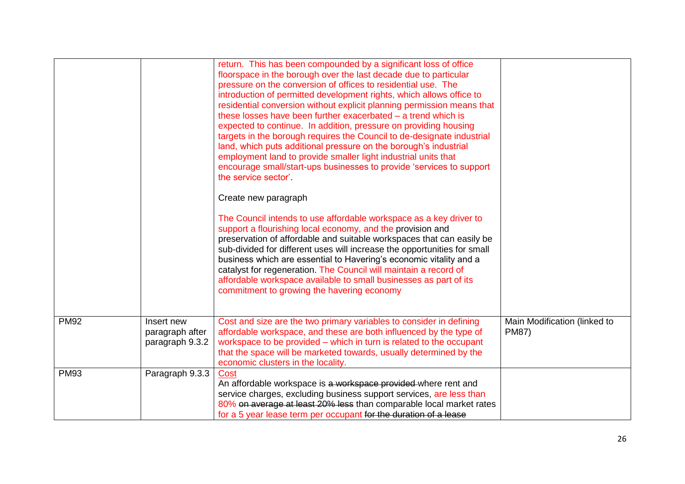|             |                                                  | return. This has been compounded by a significant loss of office<br>floorspace in the borough over the last decade due to particular<br>pressure on the conversion of offices to residential use. The<br>introduction of permitted development rights, which allows office to<br>residential conversion without explicit planning permission means that<br>these losses have been further exacerbated - a trend which is<br>expected to continue. In addition, pressure on providing housing<br>targets in the borough requires the Council to de-designate industrial<br>land, which puts additional pressure on the borough's industrial<br>employment land to provide smaller light industrial units that<br>encourage small/start-ups businesses to provide 'services to support<br>the service sector'.<br>Create new paragraph<br>The Council intends to use affordable workspace as a key driver to<br>support a flourishing local economy, and the provision and<br>preservation of affordable and suitable workspaces that can easily be<br>sub-divided for different uses will increase the opportunities for small<br>business which are essential to Havering's economic vitality and a<br>catalyst for regeneration. The Council will maintain a record of<br>affordable workspace available to small businesses as part of its<br>commitment to growing the havering economy |                                              |
|-------------|--------------------------------------------------|--------------------------------------------------------------------------------------------------------------------------------------------------------------------------------------------------------------------------------------------------------------------------------------------------------------------------------------------------------------------------------------------------------------------------------------------------------------------------------------------------------------------------------------------------------------------------------------------------------------------------------------------------------------------------------------------------------------------------------------------------------------------------------------------------------------------------------------------------------------------------------------------------------------------------------------------------------------------------------------------------------------------------------------------------------------------------------------------------------------------------------------------------------------------------------------------------------------------------------------------------------------------------------------------------------------------------------------------------------------------------------------------|----------------------------------------------|
| <b>PM92</b> | Insert new<br>paragraph after<br>paragraph 9.3.2 | Cost and size are the two primary variables to consider in defining<br>affordable workspace, and these are both influenced by the type of<br>workspace to be provided - which in turn is related to the occupant<br>that the space will be marketed towards, usually determined by the<br>economic clusters in the locality.                                                                                                                                                                                                                                                                                                                                                                                                                                                                                                                                                                                                                                                                                                                                                                                                                                                                                                                                                                                                                                                               | Main Modification (linked to<br><b>PM87)</b> |
| <b>PM93</b> | Paragraph 9.3.3                                  | Cost<br>An affordable workspace is a workspace provided where rent and<br>service charges, excluding business support services, are less than<br>80% on average at least 20% less than comparable local market rates<br>for a 5 year lease term per occupant for the duration of a lease                                                                                                                                                                                                                                                                                                                                                                                                                                                                                                                                                                                                                                                                                                                                                                                                                                                                                                                                                                                                                                                                                                   |                                              |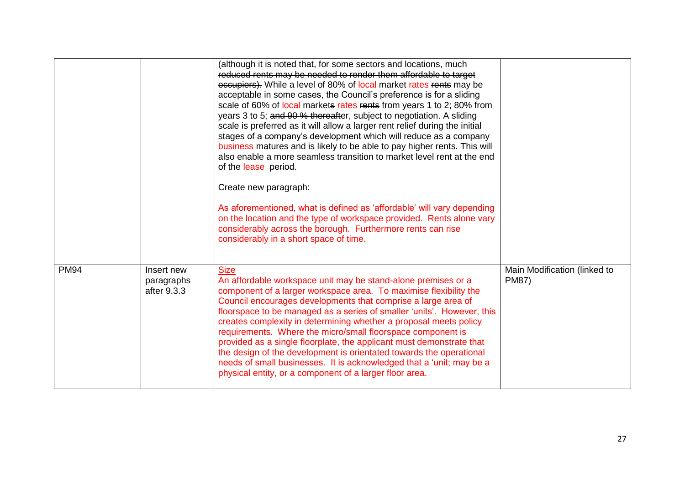|             |                                         | (although it is noted that, for some sectors and locations, much<br>reduced rents may be needed to render them affordable to target<br>occupiers). While a level of 80% of local market rates rents may be<br>acceptable in some cases, the Council's preference is for a sliding<br>scale of 60% of local markets rates rents from years 1 to 2; 80% from<br>years 3 to 5; and 90 % thereafter, subject to negotiation. A sliding<br>scale is preferred as it will allow a larger rent relief during the initial<br>stages of a company's development which will reduce as a company<br>business matures and is likely to be able to pay higher rents. This will<br>also enable a more seamless transition to market level rent at the end<br>of the lease -period.<br>Create new paragraph:<br>As aforementioned, what is defined as 'affordable' will vary depending<br>on the location and the type of workspace provided. Rents alone vary<br>considerably across the borough. Furthermore rents can rise<br>considerably in a short space of time. |                                              |
|-------------|-----------------------------------------|----------------------------------------------------------------------------------------------------------------------------------------------------------------------------------------------------------------------------------------------------------------------------------------------------------------------------------------------------------------------------------------------------------------------------------------------------------------------------------------------------------------------------------------------------------------------------------------------------------------------------------------------------------------------------------------------------------------------------------------------------------------------------------------------------------------------------------------------------------------------------------------------------------------------------------------------------------------------------------------------------------------------------------------------------------|----------------------------------------------|
| <b>PM94</b> | Insert new<br>paragraphs<br>after 9.3.3 | <b>Size</b><br>An affordable workspace unit may be stand-alone premises or a<br>component of a larger workspace area. To maximise flexibility the<br>Council encourages developments that comprise a large area of<br>floorspace to be managed as a series of smaller 'units'. However, this<br>creates complexity in determining whether a proposal meets policy<br>requirements. Where the micro/small floorspace component is<br>provided as a single floorplate, the applicant must demonstrate that<br>the design of the development is orientated towards the operational<br>needs of small businesses. It is acknowledged that a 'unit; may be a<br>physical entity, or a component of a larger floor area.                                                                                                                                                                                                                                                                                                                                       | Main Modification (linked to<br><b>PM87)</b> |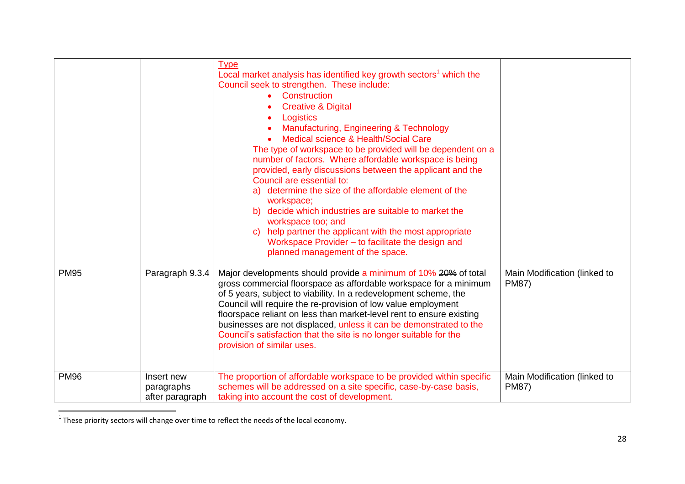|             |                                             | <b>Type</b><br>Local market analysis has identified key growth sectors <sup>1</sup> which the<br>Council seek to strengthen. These include:<br>Construction<br><b>Creative &amp; Digital</b><br>Logistics<br>Manufacturing, Engineering & Technology<br>Medical science & Health/Social Care<br>The type of workspace to be provided will be dependent on a<br>number of factors. Where affordable workspace is being<br>provided, early discussions between the applicant and the<br>Council are essential to:<br>determine the size of the affordable element of the<br>a)<br>workspace;<br>decide which industries are suitable to market the<br>b)<br>workspace too; and<br>help partner the applicant with the most appropriate<br>$\mathbf{C}$<br>Workspace Provider - to facilitate the design and<br>planned management of the space. |                                              |
|-------------|---------------------------------------------|-----------------------------------------------------------------------------------------------------------------------------------------------------------------------------------------------------------------------------------------------------------------------------------------------------------------------------------------------------------------------------------------------------------------------------------------------------------------------------------------------------------------------------------------------------------------------------------------------------------------------------------------------------------------------------------------------------------------------------------------------------------------------------------------------------------------------------------------------|----------------------------------------------|
| <b>PM95</b> | Paragraph 9.3.4                             | Major developments should provide a minimum of 10% 20% of total<br>gross commercial floorspace as affordable workspace for a minimum<br>of 5 years, subject to viability. In a redevelopment scheme, the<br>Council will require the re-provision of low value employment<br>floorspace reliant on less than market-level rent to ensure existing<br>businesses are not displaced, unless it can be demonstrated to the<br>Council's satisfaction that the site is no longer suitable for the<br>provision of similar uses.                                                                                                                                                                                                                                                                                                                   | Main Modification (linked to<br><b>PM87)</b> |
| <b>PM96</b> | Insert new<br>paragraphs<br>after paragraph | The proportion of affordable workspace to be provided within specific<br>schemes will be addressed on a site specific, case-by-case basis,<br>taking into account the cost of development.                                                                                                                                                                                                                                                                                                                                                                                                                                                                                                                                                                                                                                                    | Main Modification (linked to<br><b>PM87)</b> |

**THESE 1**<br>These priority sectors will change over time to reflect the needs of the local economy.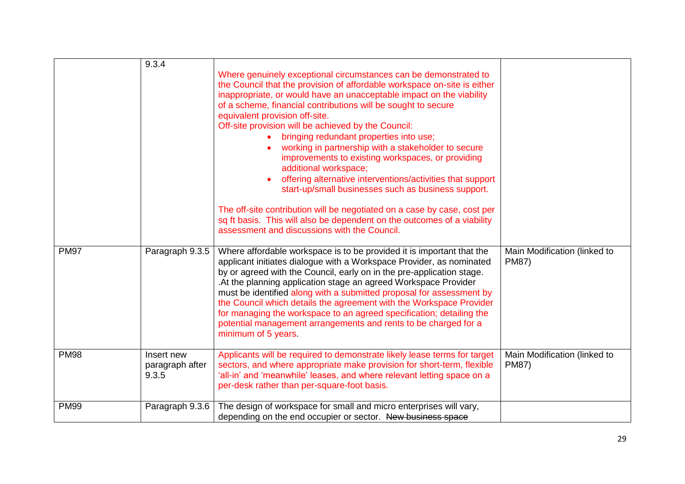|             | 9.3.4                                  | Where genuinely exceptional circumstances can be demonstrated to<br>the Council that the provision of affordable workspace on-site is either<br>inappropriate, or would have an unacceptable impact on the viability<br>of a scheme, financial contributions will be sought to secure<br>equivalent provision off-site.<br>Off-site provision will be achieved by the Council:<br>bringing redundant properties into use;<br>working in partnership with a stakeholder to secure<br>improvements to existing workspaces, or providing<br>additional workspace;<br>offering alternative interventions/activities that support<br>start-up/small businesses such as business support.<br>The off-site contribution will be negotiated on a case by case, cost per<br>sq ft basis. This will also be dependent on the outcomes of a viability<br>assessment and discussions with the Council. |                                              |
|-------------|----------------------------------------|--------------------------------------------------------------------------------------------------------------------------------------------------------------------------------------------------------------------------------------------------------------------------------------------------------------------------------------------------------------------------------------------------------------------------------------------------------------------------------------------------------------------------------------------------------------------------------------------------------------------------------------------------------------------------------------------------------------------------------------------------------------------------------------------------------------------------------------------------------------------------------------------|----------------------------------------------|
| <b>PM97</b> | Paragraph 9.3.5                        | Where affordable workspace is to be provided it is important that the<br>applicant initiates dialogue with a Workspace Provider, as nominated<br>by or agreed with the Council, early on in the pre-application stage.<br>. At the planning application stage an agreed Workspace Provider<br>must be identified along with a submitted proposal for assessment by<br>the Council which details the agreement with the Workspace Provider<br>for managing the workspace to an agreed specification; detailing the<br>potential management arrangements and rents to be charged for a<br>minimum of 5 years.                                                                                                                                                                                                                                                                                | Main Modification (linked to<br><b>PM87)</b> |
| <b>PM98</b> | Insert new<br>paragraph after<br>9.3.5 | Applicants will be required to demonstrate likely lease terms for target<br>sectors, and where appropriate make provision for short-term, flexible<br>'all-in' and 'meanwhile' leases, and where relevant letting space on a<br>per-desk rather than per-square-foot basis.                                                                                                                                                                                                                                                                                                                                                                                                                                                                                                                                                                                                                | Main Modification (linked to<br><b>PM87)</b> |
| <b>PM99</b> | Paragraph 9.3.6                        | The design of workspace for small and micro enterprises will vary,<br>depending on the end occupier or sector. New business space                                                                                                                                                                                                                                                                                                                                                                                                                                                                                                                                                                                                                                                                                                                                                          |                                              |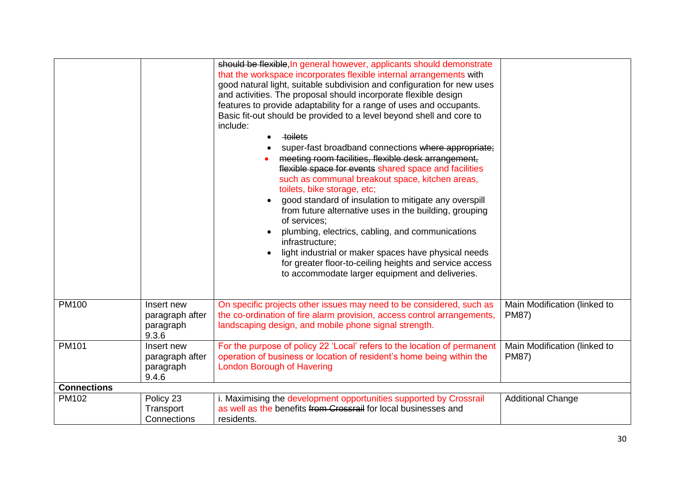|                    |                                                     | should be flexible, In general however, applicants should demonstrate<br>that the workspace incorporates flexible internal arrangements with<br>good natural light, suitable subdivision and configuration for new uses<br>and activities. The proposal should incorporate flexible design<br>features to provide adaptability for a range of uses and occupants.<br>Basic fit-out should be provided to a level beyond shell and core to<br>include:<br>toilets<br>super-fast broadband connections where appropriate;<br>meeting room facilities, flexible desk arrangement,<br>flexible space for events shared space and facilities<br>such as communal breakout space, kitchen areas,<br>toilets, bike storage, etc;<br>good standard of insulation to mitigate any overspill<br>from future alternative uses in the building, grouping<br>of services:<br>plumbing, electrics, cabling, and communications<br>infrastructure;<br>light industrial or maker spaces have physical needs<br>for greater floor-to-ceiling heights and service access<br>to accommodate larger equipment and deliveries. |                                              |
|--------------------|-----------------------------------------------------|-----------------------------------------------------------------------------------------------------------------------------------------------------------------------------------------------------------------------------------------------------------------------------------------------------------------------------------------------------------------------------------------------------------------------------------------------------------------------------------------------------------------------------------------------------------------------------------------------------------------------------------------------------------------------------------------------------------------------------------------------------------------------------------------------------------------------------------------------------------------------------------------------------------------------------------------------------------------------------------------------------------------------------------------------------------------------------------------------------------|----------------------------------------------|
| <b>PM100</b>       | Insert new<br>paragraph after<br>paragraph<br>9.3.6 | On specific projects other issues may need to be considered, such as<br>the co-ordination of fire alarm provision, access control arrangements,<br>landscaping design, and mobile phone signal strength.                                                                                                                                                                                                                                                                                                                                                                                                                                                                                                                                                                                                                                                                                                                                                                                                                                                                                                  | Main Modification (linked to<br><b>PM87)</b> |
| <b>PM101</b>       | Insert new<br>paragraph after<br>paragraph<br>9.4.6 | For the purpose of policy 22 'Local' refers to the location of permanent<br>operation of business or location of resident's home being within the<br><b>London Borough of Havering</b>                                                                                                                                                                                                                                                                                                                                                                                                                                                                                                                                                                                                                                                                                                                                                                                                                                                                                                                    | Main Modification (linked to<br><b>PM87)</b> |
| <b>Connections</b> |                                                     |                                                                                                                                                                                                                                                                                                                                                                                                                                                                                                                                                                                                                                                                                                                                                                                                                                                                                                                                                                                                                                                                                                           |                                              |
| PM102              | Policy 23<br>Transport<br>Connections               | i. Maximising the development opportunities supported by Crossrail<br>as well as the benefits from Crossrail for local businesses and<br>residents.                                                                                                                                                                                                                                                                                                                                                                                                                                                                                                                                                                                                                                                                                                                                                                                                                                                                                                                                                       | <b>Additional Change</b>                     |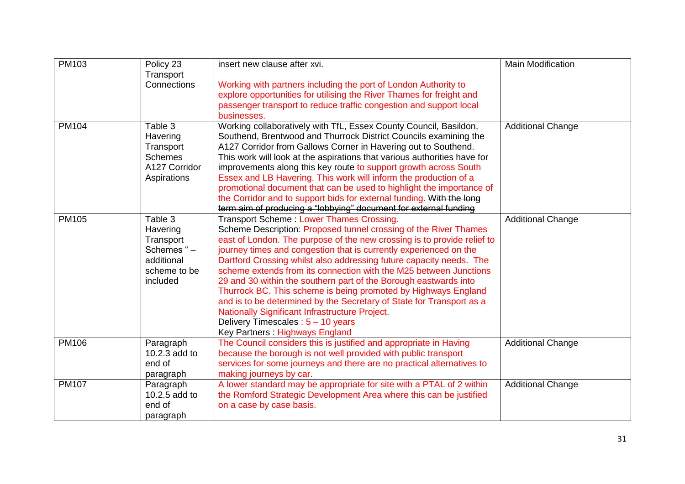| PM103        | Policy 23                                                                                | insert new clause after xvi.                                                                                                                                                                                                                                                                                                                                                                                                                                                                                                                                                                                                                                                                                                                    | <b>Main Modification</b> |
|--------------|------------------------------------------------------------------------------------------|-------------------------------------------------------------------------------------------------------------------------------------------------------------------------------------------------------------------------------------------------------------------------------------------------------------------------------------------------------------------------------------------------------------------------------------------------------------------------------------------------------------------------------------------------------------------------------------------------------------------------------------------------------------------------------------------------------------------------------------------------|--------------------------|
|              | Transport<br>Connections                                                                 | Working with partners including the port of London Authority to<br>explore opportunities for utilising the River Thames for freight and<br>passenger transport to reduce traffic congestion and support local<br>businesses.                                                                                                                                                                                                                                                                                                                                                                                                                                                                                                                    |                          |
| <b>PM104</b> | Table 3<br>Havering<br>Transport<br><b>Schemes</b><br>A127 Corridor<br>Aspirations       | Working collaboratively with TfL, Essex County Council, Basildon,<br>Southend, Brentwood and Thurrock District Councils examining the<br>A127 Corridor from Gallows Corner in Havering out to Southend.<br>This work will look at the aspirations that various authorities have for<br>improvements along this key route to support growth across South<br>Essex and LB Havering. This work will inform the production of a<br>promotional document that can be used to highlight the importance of<br>the Corridor and to support bids for external funding. With the long<br>term aim of producing a "lobbying" document for external funding                                                                                                 | <b>Additional Change</b> |
| <b>PM105</b> | Table 3<br>Havering<br>Transport<br>Schemes "-<br>additional<br>scheme to be<br>included | Transport Scheme: Lower Thames Crossing.<br>Scheme Description: Proposed tunnel crossing of the River Thames<br>east of London. The purpose of the new crossing is to provide relief to<br>journey times and congestion that is currently experienced on the<br>Dartford Crossing whilst also addressing future capacity needs. The<br>scheme extends from its connection with the M25 between Junctions<br>29 and 30 within the southern part of the Borough eastwards into<br>Thurrock BC. This scheme is being promoted by Highways England<br>and is to be determined by the Secretary of State for Transport as a<br>Nationally Significant Infrastructure Project.<br>Delivery Timescales: 5 - 10 years<br>Key Partners: Highways England | <b>Additional Change</b> |
| PM106        | Paragraph<br>10.2.3 add to<br>end of<br>paragraph                                        | The Council considers this is justified and appropriate in Having<br>because the borough is not well provided with public transport<br>services for some journeys and there are no practical alternatives to<br>making journeys by car.                                                                                                                                                                                                                                                                                                                                                                                                                                                                                                         | <b>Additional Change</b> |
| <b>PM107</b> | Paragraph<br>10.2.5 add to<br>end of<br>paragraph                                        | A lower standard may be appropriate for site with a PTAL of 2 within<br>the Romford Strategic Development Area where this can be justified<br>on a case by case basis.                                                                                                                                                                                                                                                                                                                                                                                                                                                                                                                                                                          | <b>Additional Change</b> |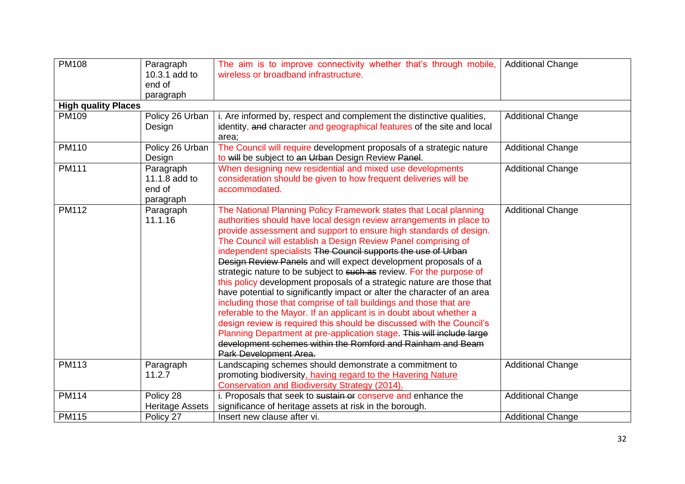| <b>PM108</b>               | Paragraph<br>10.3.1 add to<br>end of              | The aim is to improve connectivity whether that's through mobile,<br>wireless or broadband infrastructure.                                                                                                                                                                                                                                                                                                                                                                                                                                                                                                                                                                                                                                                                                                                                                                                                                                                                                                                                  | <b>Additional Change</b> |
|----------------------------|---------------------------------------------------|---------------------------------------------------------------------------------------------------------------------------------------------------------------------------------------------------------------------------------------------------------------------------------------------------------------------------------------------------------------------------------------------------------------------------------------------------------------------------------------------------------------------------------------------------------------------------------------------------------------------------------------------------------------------------------------------------------------------------------------------------------------------------------------------------------------------------------------------------------------------------------------------------------------------------------------------------------------------------------------------------------------------------------------------|--------------------------|
|                            | paragraph                                         |                                                                                                                                                                                                                                                                                                                                                                                                                                                                                                                                                                                                                                                                                                                                                                                                                                                                                                                                                                                                                                             |                          |
| <b>High quality Places</b> |                                                   |                                                                                                                                                                                                                                                                                                                                                                                                                                                                                                                                                                                                                                                                                                                                                                                                                                                                                                                                                                                                                                             |                          |
| PM109                      | Policy 26 Urban<br>Design                         | i. Are informed by, respect and complement the distinctive qualities,<br>identity, and character and geographical features of the site and local<br>area;                                                                                                                                                                                                                                                                                                                                                                                                                                                                                                                                                                                                                                                                                                                                                                                                                                                                                   | <b>Additional Change</b> |
| PM110                      | Policy 26 Urban<br>Design                         | The Council will require development proposals of a strategic nature<br>to will be subject to an Urban Design Review Panel.                                                                                                                                                                                                                                                                                                                                                                                                                                                                                                                                                                                                                                                                                                                                                                                                                                                                                                                 | <b>Additional Change</b> |
| <b>PM111</b>               | Paragraph<br>11.1.8 add to<br>end of<br>paragraph | When designing new residential and mixed use developments<br>consideration should be given to how frequent deliveries will be<br>accommodated.                                                                                                                                                                                                                                                                                                                                                                                                                                                                                                                                                                                                                                                                                                                                                                                                                                                                                              | <b>Additional Change</b> |
| PM112                      | Paragraph<br>11.1.16                              | The National Planning Policy Framework states that Local planning<br>authorities should have local design review arrangements in place to<br>provide assessment and support to ensure high standards of design.<br>The Council will establish a Design Review Panel comprising of<br>independent specialists The Council supports the use of Urban<br>Design Review Panels and will expect development proposals of a<br>strategic nature to be subject to such as review. For the purpose of<br>this policy development proposals of a strategic nature are those that<br>have potential to significantly impact or alter the character of an area<br>including those that comprise of tall buildings and those that are<br>referable to the Mayor. If an applicant is in doubt about whether a<br>design review is required this should be discussed with the Council's<br>Planning Department at pre-application stage. This will include large<br>development schemes within the Romford and Rainham and Beam<br>Park Development Area. | <b>Additional Change</b> |
| PM113                      | Paragraph<br>11.2.7                               | Landscaping schemes should demonstrate a commitment to<br>promoting biodiversity, having regard to the Havering Nature<br>Conservation and Biodiversity Strategy (2014).                                                                                                                                                                                                                                                                                                                                                                                                                                                                                                                                                                                                                                                                                                                                                                                                                                                                    | <b>Additional Change</b> |
| <b>PM114</b>               | Policy 28<br><b>Heritage Assets</b>               | i. Proposals that seek to sustain or conserve and enhance the<br>significance of heritage assets at risk in the borough.                                                                                                                                                                                                                                                                                                                                                                                                                                                                                                                                                                                                                                                                                                                                                                                                                                                                                                                    | <b>Additional Change</b> |
| <b>PM115</b>               | Policy 27                                         | Insert new clause after vi.                                                                                                                                                                                                                                                                                                                                                                                                                                                                                                                                                                                                                                                                                                                                                                                                                                                                                                                                                                                                                 | <b>Additional Change</b> |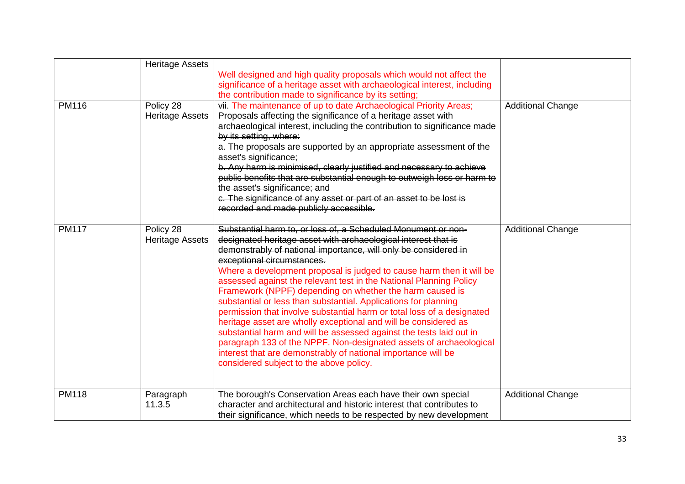|              | <b>Heritage Assets</b>              | Well designed and high quality proposals which would not affect the<br>significance of a heritage asset with archaeological interest, including<br>the contribution made to significance by its setting;                                                                                                                                                                                                                                                                                                                                                                                                                                                                                                                                                                                                                                                                                                            |                          |
|--------------|-------------------------------------|---------------------------------------------------------------------------------------------------------------------------------------------------------------------------------------------------------------------------------------------------------------------------------------------------------------------------------------------------------------------------------------------------------------------------------------------------------------------------------------------------------------------------------------------------------------------------------------------------------------------------------------------------------------------------------------------------------------------------------------------------------------------------------------------------------------------------------------------------------------------------------------------------------------------|--------------------------|
| PM116        | Policy 28<br><b>Heritage Assets</b> | vii. The maintenance of up to date Archaeological Priority Areas;<br>Proposals affecting the significance of a heritage asset with<br>archaeological interest, including the contribution to significance made<br>by its setting, where:<br>a. The proposals are supported by an appropriate assessment of the<br>asset's significance;<br>b. Any harm is minimised, clearly justified and necessary to achieve<br>public benefits that are substantial enough to outweigh loss or harm to<br>the asset's significance; and<br>c. The significance of any asset or part of an asset to be lost is<br>recorded and made publicly accessible.                                                                                                                                                                                                                                                                         | <b>Additional Change</b> |
| <b>PM117</b> | Policy 28<br><b>Heritage Assets</b> | Substantial harm to, or loss of, a Scheduled Monument or non-<br>designated heritage asset with archaeological interest that is<br>demonstrably of national importance, will only be considered in<br>exceptional circumstances.<br>Where a development proposal is judged to cause harm then it will be<br>assessed against the relevant test in the National Planning Policy<br>Framework (NPPF) depending on whether the harm caused is<br>substantial or less than substantial. Applications for planning<br>permission that involve substantial harm or total loss of a designated<br>heritage asset are wholly exceptional and will be considered as<br>substantial harm and will be assessed against the tests laid out in<br>paragraph 133 of the NPPF. Non-designated assets of archaeological<br>interest that are demonstrably of national importance will be<br>considered subject to the above policy. | <b>Additional Change</b> |
| <b>PM118</b> | Paragraph<br>11.3.5                 | The borough's Conservation Areas each have their own special<br>character and architectural and historic interest that contributes to<br>their significance, which needs to be respected by new development                                                                                                                                                                                                                                                                                                                                                                                                                                                                                                                                                                                                                                                                                                         | <b>Additional Change</b> |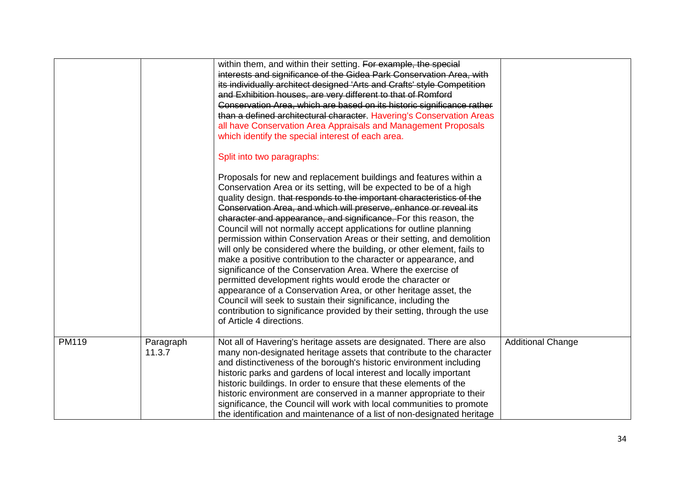|       |                     | within them, and within their setting. For example, the special<br>interests and significance of the Gidea Park Conservation Area, with<br>its individually architect designed 'Arts and Crafts' style Competition<br>and Exhibition houses, are very different to that of Romford<br>Conservation Area, which are based on its historic significance rather<br>than a defined architectural character. Havering's Conservation Areas<br>all have Conservation Area Appraisals and Management Proposals<br>which identify the special interest of each area.                                                                                                                                                                                                                                                                                                                                                                                                                                                                    |                          |
|-------|---------------------|---------------------------------------------------------------------------------------------------------------------------------------------------------------------------------------------------------------------------------------------------------------------------------------------------------------------------------------------------------------------------------------------------------------------------------------------------------------------------------------------------------------------------------------------------------------------------------------------------------------------------------------------------------------------------------------------------------------------------------------------------------------------------------------------------------------------------------------------------------------------------------------------------------------------------------------------------------------------------------------------------------------------------------|--------------------------|
|       |                     | Split into two paragraphs:                                                                                                                                                                                                                                                                                                                                                                                                                                                                                                                                                                                                                                                                                                                                                                                                                                                                                                                                                                                                      |                          |
|       |                     | Proposals for new and replacement buildings and features within a<br>Conservation Area or its setting, will be expected to be of a high<br>quality design. that responds to the important characteristics of the<br>Conservation Area, and which will preserve, enhance or reveal its<br>character and appearance, and significance. For this reason, the<br>Council will not normally accept applications for outline planning<br>permission within Conservation Areas or their setting, and demolition<br>will only be considered where the building, or other element, fails to<br>make a positive contribution to the character or appearance, and<br>significance of the Conservation Area. Where the exercise of<br>permitted development rights would erode the character or<br>appearance of a Conservation Area, or other heritage asset, the<br>Council will seek to sustain their significance, including the<br>contribution to significance provided by their setting, through the use<br>of Article 4 directions. |                          |
| PM119 | Paragraph<br>11.3.7 | Not all of Havering's heritage assets are designated. There are also<br>many non-designated heritage assets that contribute to the character<br>and distinctiveness of the borough's historic environment including<br>historic parks and gardens of local interest and locally important<br>historic buildings. In order to ensure that these elements of the<br>historic environment are conserved in a manner appropriate to their<br>significance, the Council will work with local communities to promote<br>the identification and maintenance of a list of non-designated heritage                                                                                                                                                                                                                                                                                                                                                                                                                                       | <b>Additional Change</b> |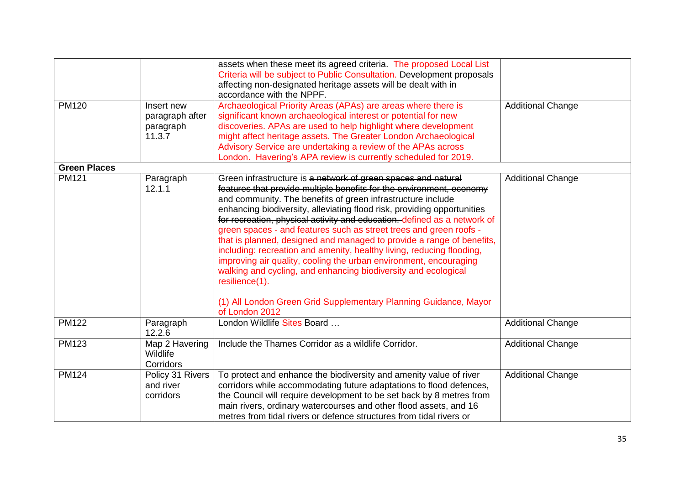|                     |                                                      | assets when these meet its agreed criteria. The proposed Local List<br>Criteria will be subject to Public Consultation. Development proposals<br>affecting non-designated heritage assets will be dealt with in<br>accordance with the NPPF.                                                                                                                                                                                                                                                                                                                                                                                                                                                                                                                                                                                       |                          |
|---------------------|------------------------------------------------------|------------------------------------------------------------------------------------------------------------------------------------------------------------------------------------------------------------------------------------------------------------------------------------------------------------------------------------------------------------------------------------------------------------------------------------------------------------------------------------------------------------------------------------------------------------------------------------------------------------------------------------------------------------------------------------------------------------------------------------------------------------------------------------------------------------------------------------|--------------------------|
| <b>PM120</b>        | Insert new<br>paragraph after<br>paragraph<br>11.3.7 | Archaeological Priority Areas (APAs) are areas where there is<br>significant known archaeological interest or potential for new<br>discoveries. APAs are used to help highlight where development<br>might affect heritage assets. The Greater London Archaeological<br>Advisory Service are undertaking a review of the APAs across<br>London. Havering's APA review is currently scheduled for 2019.                                                                                                                                                                                                                                                                                                                                                                                                                             | <b>Additional Change</b> |
| <b>Green Places</b> |                                                      |                                                                                                                                                                                                                                                                                                                                                                                                                                                                                                                                                                                                                                                                                                                                                                                                                                    |                          |
| <b>PM121</b>        | Paragraph<br>12.1.1                                  | Green infrastructure is a network of green spaces and natural<br>features that provide multiple benefits for the environment, economy<br>and community. The benefits of green infrastructure include<br>enhancing biodiversity, alleviating flood risk, providing opportunities<br>for recreation, physical activity and education. defined as a network of<br>green spaces - and features such as street trees and green roofs -<br>that is planned, designed and managed to provide a range of benefits,<br>including: recreation and amenity, healthy living, reducing flooding,<br>improving air quality, cooling the urban environment, encouraging<br>walking and cycling, and enhancing biodiversity and ecological<br>resilience(1).<br>(1) All London Green Grid Supplementary Planning Guidance, Mayor<br>of London 2012 | <b>Additional Change</b> |
| <b>PM122</b>        | Paragraph<br>12.2.6                                  | London Wildlife Sites Board                                                                                                                                                                                                                                                                                                                                                                                                                                                                                                                                                                                                                                                                                                                                                                                                        | <b>Additional Change</b> |
| <b>PM123</b>        | Map 2 Havering<br>Wildlife<br>Corridors              | Include the Thames Corridor as a wildlife Corridor.                                                                                                                                                                                                                                                                                                                                                                                                                                                                                                                                                                                                                                                                                                                                                                                | <b>Additional Change</b> |
| <b>PM124</b>        | Policy 31 Rivers<br>and river<br>corridors           | To protect and enhance the biodiversity and amenity value of river<br>corridors while accommodating future adaptations to flood defences,<br>the Council will require development to be set back by 8 metres from<br>main rivers, ordinary watercourses and other flood assets, and 16<br>metres from tidal rivers or defence structures from tidal rivers or                                                                                                                                                                                                                                                                                                                                                                                                                                                                      | <b>Additional Change</b> |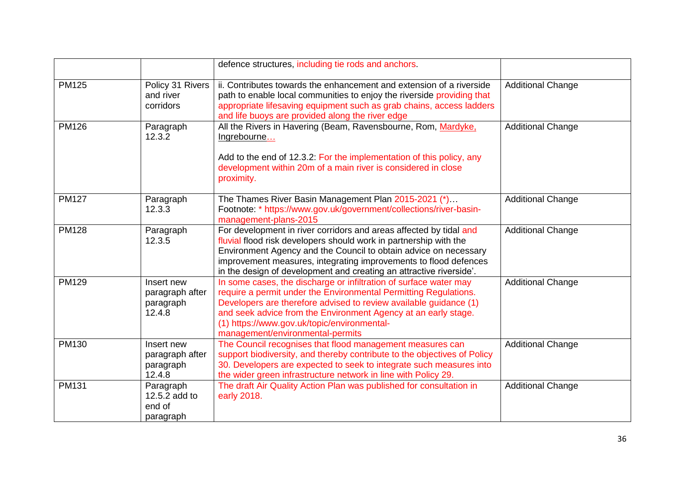|              |                                                      | defence structures, including tie rods and anchors.                                                                                                                                                                                                                                                                                                             |                          |
|--------------|------------------------------------------------------|-----------------------------------------------------------------------------------------------------------------------------------------------------------------------------------------------------------------------------------------------------------------------------------------------------------------------------------------------------------------|--------------------------|
| <b>PM125</b> | Policy 31 Rivers<br>and river<br>corridors           | ii. Contributes towards the enhancement and extension of a riverside<br>path to enable local communities to enjoy the riverside providing that<br>appropriate lifesaving equipment such as grab chains, access ladders<br>and life buoys are provided along the river edge                                                                                      | <b>Additional Change</b> |
| <b>PM126</b> | Paragraph<br>12.3.2                                  | All the Rivers in Havering (Beam, Ravensbourne, Rom, Mardyke,<br>Ingrebourne<br>Add to the end of 12.3.2: For the implementation of this policy, any<br>development within 20m of a main river is considered in close<br>proximity.                                                                                                                             | <b>Additional Change</b> |
| <b>PM127</b> | Paragraph<br>12.3.3                                  | The Thames River Basin Management Plan 2015-2021 (*)<br>Footnote: * https://www.gov.uk/government/collections/river-basin-<br>management-plans-2015                                                                                                                                                                                                             | <b>Additional Change</b> |
| <b>PM128</b> | Paragraph<br>12.3.5                                  | For development in river corridors and areas affected by tidal and<br>fluvial flood risk developers should work in partnership with the<br>Environment Agency and the Council to obtain advice on necessary<br>improvement measures, integrating improvements to flood defences<br>in the design of development and creating an attractive riverside'.          | <b>Additional Change</b> |
| <b>PM129</b> | Insert new<br>paragraph after<br>paragraph<br>12.4.8 | In some cases, the discharge or infiltration of surface water may<br>require a permit under the Environmental Permitting Regulations.<br>Developers are therefore advised to review available guidance (1)<br>and seek advice from the Environment Agency at an early stage.<br>(1) https://www.gov.uk/topic/environmental-<br>management/environmental-permits | <b>Additional Change</b> |
| PM130        | Insert new<br>paragraph after<br>paragraph<br>12.4.8 | The Council recognises that flood management measures can<br>support biodiversity, and thereby contribute to the objectives of Policy<br>30. Developers are expected to seek to integrate such measures into<br>the wider green infrastructure network in line with Policy 29.                                                                                  | <b>Additional Change</b> |
| <b>PM131</b> | Paragraph<br>12.5.2 add to<br>end of<br>paragraph    | The draft Air Quality Action Plan was published for consultation in<br>early 2018.                                                                                                                                                                                                                                                                              | <b>Additional Change</b> |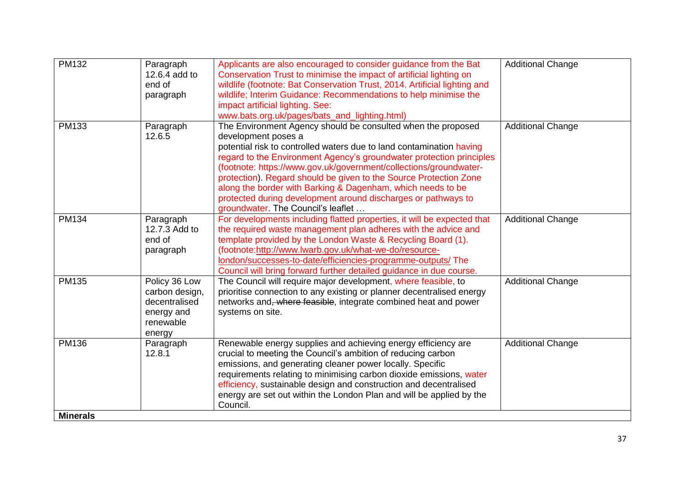| <b>PM132</b>                    | Paragraph<br>12.6.4 add to<br>end of<br>paragraph                                     | Applicants are also encouraged to consider guidance from the Bat<br>Conservation Trust to minimise the impact of artificial lighting on<br>wildlife (footnote: Bat Conservation Trust, 2014. Artificial lighting and<br>wildlife; Interim Guidance: Recommendations to help minimise the<br>impact artificial lighting. See:<br>www.bats.org.uk/pages/bats_and_lighting.html)                                                                                                                                                                       | <b>Additional Change</b> |
|---------------------------------|---------------------------------------------------------------------------------------|-----------------------------------------------------------------------------------------------------------------------------------------------------------------------------------------------------------------------------------------------------------------------------------------------------------------------------------------------------------------------------------------------------------------------------------------------------------------------------------------------------------------------------------------------------|--------------------------|
| <b>PM133</b>                    | Paragraph<br>12.6.5                                                                   | The Environment Agency should be consulted when the proposed<br>development poses a<br>potential risk to controlled waters due to land contamination having<br>regard to the Environment Agency's groundwater protection principles<br>(footnote: https://www.gov.uk/government/collections/groundwater-<br>protection). Regard should be given to the Source Protection Zone<br>along the border with Barking & Dagenham, which needs to be<br>protected during development around discharges or pathways to<br>groundwater. The Council's leaflet | <b>Additional Change</b> |
| PM134                           | Paragraph<br>12.7.3 Add to<br>end of<br>paragraph                                     | For developments including flatted properties, it will be expected that<br>the required waste management plan adheres with the advice and<br>template provided by the London Waste & Recycling Board (1).<br>(footnote:http://www.lwarb.gov.uk/what-we-do/resource-<br>london/successes-to-date/efficiencies-programme-outputs/ The<br>Council will bring forward further detailed guidance in due course.                                                                                                                                          | <b>Additional Change</b> |
| <b>PM135</b>                    | Policy 36 Low<br>carbon design,<br>decentralised<br>energy and<br>renewable<br>energy | The Council will require major development, where feasible, to<br>prioritise connection to any existing or planner decentralised energy<br>networks and, where feasible, integrate combined heat and power<br>systems on site.                                                                                                                                                                                                                                                                                                                      | <b>Additional Change</b> |
| <b>PM136</b><br><b>Minerals</b> | Paragraph<br>12.8.1                                                                   | Renewable energy supplies and achieving energy efficiency are<br>crucial to meeting the Council's ambition of reducing carbon<br>emissions, and generating cleaner power locally. Specific<br>requirements relating to minimising carbon dioxide emissions, water<br>efficiency, sustainable design and construction and decentralised<br>energy are set out within the London Plan and will be applied by the<br>Council.                                                                                                                          | <b>Additional Change</b> |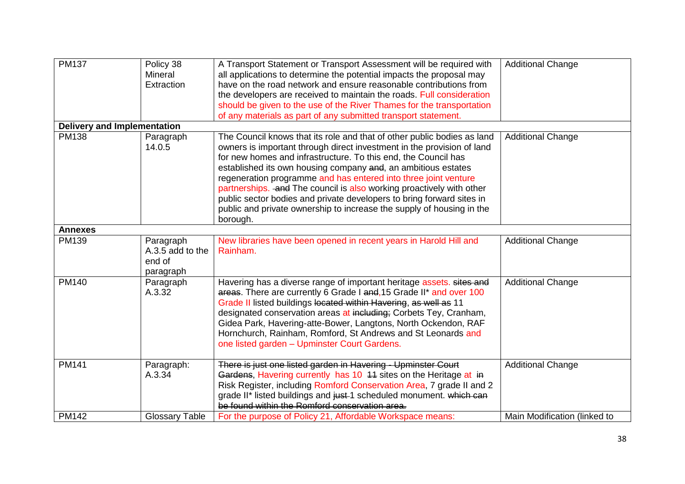| <b>PM137</b>                       | Policy 38<br>Mineral<br>Extraction                   | A Transport Statement or Transport Assessment will be required with<br>all applications to determine the potential impacts the proposal may<br>have on the road network and ensure reasonable contributions from<br>the developers are received to maintain the roads. Full consideration<br>should be given to the use of the River Thames for the transportation<br>of any materials as part of any submitted transport statement.                                                                                                                                                          | <b>Additional Change</b>     |
|------------------------------------|------------------------------------------------------|-----------------------------------------------------------------------------------------------------------------------------------------------------------------------------------------------------------------------------------------------------------------------------------------------------------------------------------------------------------------------------------------------------------------------------------------------------------------------------------------------------------------------------------------------------------------------------------------------|------------------------------|
| <b>Delivery and Implementation</b> |                                                      |                                                                                                                                                                                                                                                                                                                                                                                                                                                                                                                                                                                               |                              |
| <b>PM138</b>                       | Paragraph<br>14.0.5                                  | The Council knows that its role and that of other public bodies as land<br>owners is important through direct investment in the provision of land<br>for new homes and infrastructure. To this end, the Council has<br>established its own housing company and, an ambitious estates<br>regeneration programme and has entered into three joint venture<br>partnerships. and The council is also working proactively with other<br>public sector bodies and private developers to bring forward sites in<br>public and private ownership to increase the supply of housing in the<br>borough. | <b>Additional Change</b>     |
| <b>Annexes</b>                     |                                                      |                                                                                                                                                                                                                                                                                                                                                                                                                                                                                                                                                                                               |                              |
| PM139                              | Paragraph<br>A.3.5 add to the<br>end of<br>paragraph | New libraries have been opened in recent years in Harold Hill and<br>Rainham.                                                                                                                                                                                                                                                                                                                                                                                                                                                                                                                 | <b>Additional Change</b>     |
| <b>PM140</b>                       | Paragraph<br>A.3.32                                  | Havering has a diverse range of important heritage assets. sites and<br>areas. There are currently 6 Grade I and, 15 Grade II* and over 100<br>Grade II listed buildings located within Havering, as well as 11<br>designated conservation areas at including; Corbets Tey, Cranham,<br>Gidea Park, Havering-atte-Bower, Langtons, North Ockendon, RAF<br>Hornchurch, Rainham, Romford, St Andrews and St Leonards and<br>one listed garden - Upminster Court Gardens.                                                                                                                        | <b>Additional Change</b>     |
| <b>PM141</b>                       | Paragraph:<br>A.3.34                                 | There is just one listed garden in Havering - Upminster Court<br>Gardens, Havering currently has 10 44 sites on the Heritage at in<br>Risk Register, including Romford Conservation Area, 7 grade II and 2<br>grade II* listed buildings and just-1 scheduled monument. which can<br>be found within the Romford conservation area.                                                                                                                                                                                                                                                           | <b>Additional Change</b>     |
| <b>PM142</b>                       | <b>Glossary Table</b>                                | For the purpose of Policy 21, Affordable Workspace means:                                                                                                                                                                                                                                                                                                                                                                                                                                                                                                                                     | Main Modification (linked to |